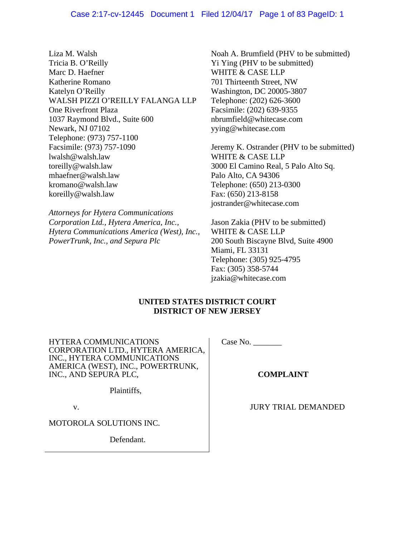# Case 2:17-cv-12445 Document 1 Filed 12/04/17 Page 1 of 83 PageID: 1

Liza M. Walsh Tricia B. O'Reilly Marc D. Haefner Katherine Romano Katelyn O'Reilly WALSH PIZZI O'REILLY FALANGA LLP One Riverfront Plaza 1037 Raymond Blvd., Suite 600 Newark, NJ 07102 Telephone: (973) 757-1100 Facsimile: (973) 757-1090 lwalsh@walsh.law toreilly@walsh.law mhaefner@walsh.law kromano@walsh.law koreilly@walsh.law

*Attorneys for Hytera Communications Corporation Ltd., Hytera America, Inc., Hytera Communications America (West), Inc., PowerTrunk, Inc., and Sepura Plc*

Noah A. Brumfield (PHV to be submitted) Yi Ying (PHV to be submitted) WHITE & CASE LLP 701 Thirteenth Street, NW Washington, DC 20005-3807 Telephone: (202) 626-3600 Facsimile: (202) 639-9355 nbrumfield@whitecase.com yying@whitecase.com

Jeremy K. Ostrander (PHV to be submitted) WHITE & CASE LLP 3000 El Camino Real, 5 Palo Alto Sq. Palo Alto, CA 94306 Telephone: (650) 213-0300 Fax: (650) 213-8158 jostrander@whitecase.com

Jason Zakia (PHV to be submitted) WHITE & CASE LLP 200 South Biscayne Blvd, Suite 4900 Miami, FL 33131 Telephone: (305) 925-4795 Fax: (305) 358-5744 jzakia@whitecase.com

# **UNITED STATES DISTRICT COURT DISTRICT OF NEW JERSEY**

HYTERA COMMUNICATIONS CORPORATION LTD., HYTERA AMERICA, INC., HYTERA COMMUNICATIONS AMERICA (WEST), INC., POWERTRUNK, INC., AND SEPURA PLC,

Case No. \_\_\_\_\_\_\_

**COMPLAINT** 

Plaintiffs,

v.

MOTOROLA SOLUTIONS INC.

Defendant.

JURY TRIAL DEMANDED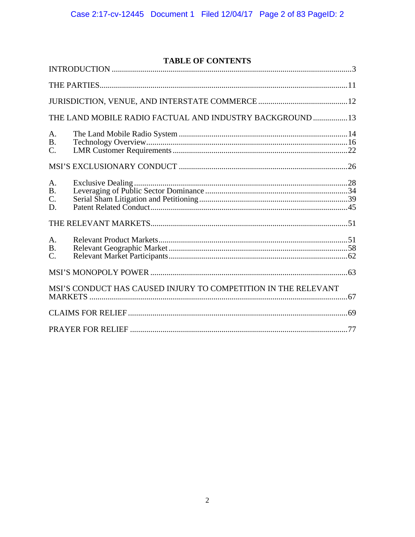# **TABLE OF CONTENTS**

|                                    | THE LAND MOBILE RADIO FACTUAL AND INDUSTRY BACKGROUND  13      |  |  |  |
|------------------------------------|----------------------------------------------------------------|--|--|--|
| A.<br><b>B.</b><br>C.              |                                                                |  |  |  |
|                                    |                                                                |  |  |  |
| A.<br><b>B.</b><br>C.<br>D.        |                                                                |  |  |  |
|                                    |                                                                |  |  |  |
| A.<br><b>B.</b><br>$\mathcal{C}$ . |                                                                |  |  |  |
|                                    |                                                                |  |  |  |
|                                    | MSI'S CONDUCT HAS CAUSED INJURY TO COMPETITION IN THE RELEVANT |  |  |  |
|                                    |                                                                |  |  |  |
|                                    |                                                                |  |  |  |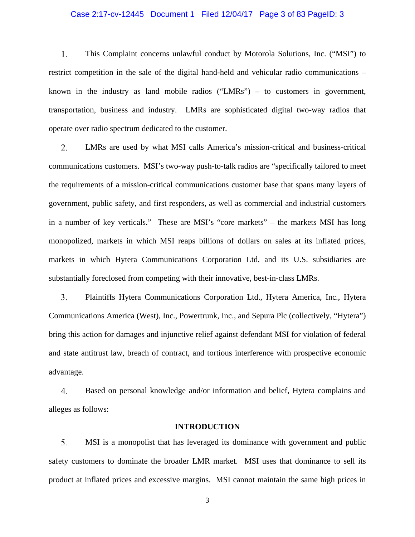# Case 2:17-cv-12445 Document 1 Filed 12/04/17 Page 3 of 83 PageID: 3

1. This Complaint concerns unlawful conduct by Motorola Solutions, Inc. ("MSI") to restrict competition in the sale of the digital hand-held and vehicular radio communications – known in the industry as land mobile radios ("LMRs") – to customers in government, transportation, business and industry. LMRs are sophisticated digital two-way radios that operate over radio spectrum dedicated to the customer.

2. LMRs are used by what MSI calls America's mission-critical and business-critical communications customers. MSI's two-way push-to-talk radios are "specifically tailored to meet the requirements of a mission-critical communications customer base that spans many layers of government, public safety, and first responders, as well as commercial and industrial customers in a number of key verticals." These are MSI's "core markets" – the markets MSI has long monopolized, markets in which MSI reaps billions of dollars on sales at its inflated prices, markets in which Hytera Communications Corporation Ltd. and its U.S. subsidiaries are substantially foreclosed from competing with their innovative, best-in-class LMRs.

3. Plaintiffs Hytera Communications Corporation Ltd., Hytera America, Inc., Hytera Communications America (West), Inc., Powertrunk, Inc., and Sepura Plc (collectively, "Hytera") bring this action for damages and injunctive relief against defendant MSI for violation of federal and state antitrust law, breach of contract, and tortious interference with prospective economic advantage.

Based on personal knowledge and/or information and belief, Hytera complains and 4. alleges as follows:

#### **INTRODUCTION**

5. MSI is a monopolist that has leveraged its dominance with government and public safety customers to dominate the broader LMR market. MSI uses that dominance to sell its product at inflated prices and excessive margins. MSI cannot maintain the same high prices in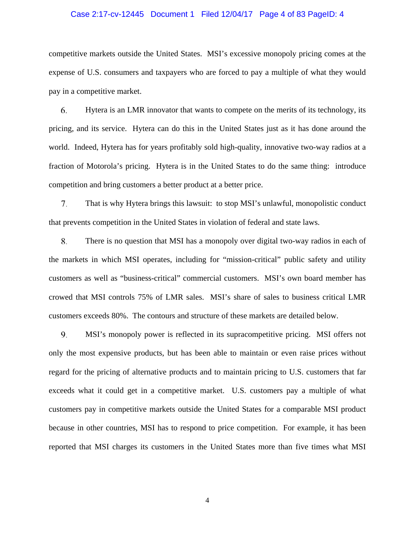# Case 2:17-cv-12445 Document 1 Filed 12/04/17 Page 4 of 83 PageID: 4

competitive markets outside the United States. MSI's excessive monopoly pricing comes at the expense of U.S. consumers and taxpayers who are forced to pay a multiple of what they would pay in a competitive market.

6. Hytera is an LMR innovator that wants to compete on the merits of its technology, its pricing, and its service. Hytera can do this in the United States just as it has done around the world. Indeed, Hytera has for years profitably sold high-quality, innovative two-way radios at a fraction of Motorola's pricing. Hytera is in the United States to do the same thing: introduce competition and bring customers a better product at a better price.

7. That is why Hytera brings this lawsuit: to stop MSI's unlawful, monopolistic conduct that prevents competition in the United States in violation of federal and state laws.

8. There is no question that MSI has a monopoly over digital two-way radios in each of the markets in which MSI operates, including for "mission-critical" public safety and utility customers as well as "business-critical" commercial customers. MSI's own board member has crowed that MSI controls 75% of LMR sales. MSI's share of sales to business critical LMR customers exceeds 80%. The contours and structure of these markets are detailed below.

9. MSI's monopoly power is reflected in its supracompetitive pricing. MSI offers not only the most expensive products, but has been able to maintain or even raise prices without regard for the pricing of alternative products and to maintain pricing to U.S. customers that far exceeds what it could get in a competitive market. U.S. customers pay a multiple of what customers pay in competitive markets outside the United States for a comparable MSI product because in other countries, MSI has to respond to price competition. For example, it has been reported that MSI charges its customers in the United States more than five times what MSI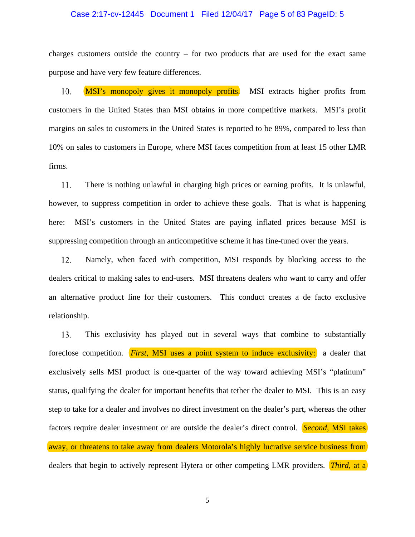#### Case 2:17-cv-12445 Document 1 Filed 12/04/17 Page 5 of 83 PageID: 5

charges customers outside the country – for two products that are used for the exact same purpose and have very few feature differences.

10. MSI's monopoly gives it monopoly profits. MSI extracts higher profits from customers in the United States than MSI obtains in more competitive markets. MSI's profit margins on sales to customers in the United States is reported to be 89%, compared to less than 10% on sales to customers in Europe, where MSI faces competition from at least 15 other LMR firms.

11. There is nothing unlawful in charging high prices or earning profits. It is unlawful, however, to suppress competition in order to achieve these goals. That is what is happening here: MSI's customers in the United States are paying inflated prices because MSI is suppressing competition through an anticompetitive scheme it has fine-tuned over the years.

12. Namely, when faced with competition, MSI responds by blocking access to the dealers critical to making sales to end-users. MSI threatens dealers who want to carry and offer an alternative product line for their customers. This conduct creates a de facto exclusive relationship.

13. This exclusivity has played out in several ways that combine to substantially foreclose competition. *First*, MSI uses a point system to induce exclusivity: a dealer that exclusively sells MSI product is one-quarter of the way toward achieving MSI's "platinum" status, qualifying the dealer for important benefits that tether the dealer to MSI. This is an easy step to take for a dealer and involves no direct investment on the dealer's part, whereas the other factors require dealer investment or are outside the dealer's direct control. *Second*, MSI takes away, or threatens to take away from dealers Motorola's highly lucrative service business from dealers that begin to actively represent Hytera or other competing LMR providers. *Third*, at a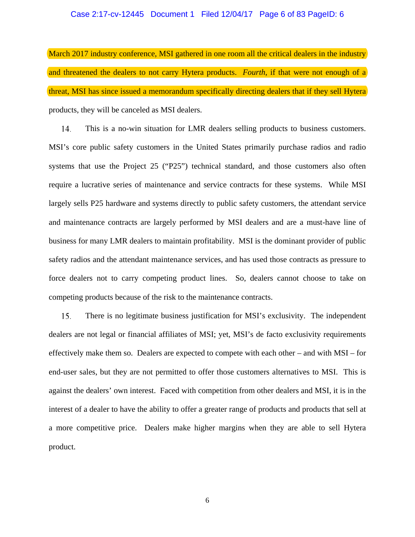#### Case 2:17-cv-12445 Document 1 Filed 12/04/17 Page 6 of 83 PageID: 6

March 2017 industry conference, MSI gathered in one room all the critical dealers in the industry and threatened the dealers to not carry Hytera products. *Fourth*, if that were not enough of a threat, MSI has since issued a memorandum specifically directing dealers that if they sell Hytera products, they will be canceled as MSI dealers.

This is a no-win situation for LMR dealers selling products to business customers. 14. MSI's core public safety customers in the United States primarily purchase radios and radio systems that use the Project 25 ("P25") technical standard, and those customers also often require a lucrative series of maintenance and service contracts for these systems. While MSI largely sells P25 hardware and systems directly to public safety customers, the attendant service and maintenance contracts are largely performed by MSI dealers and are a must-have line of business for many LMR dealers to maintain profitability. MSI is the dominant provider of public safety radios and the attendant maintenance services, and has used those contracts as pressure to force dealers not to carry competing product lines. So, dealers cannot choose to take on competing products because of the risk to the maintenance contracts.

15. There is no legitimate business justification for MSI's exclusivity. The independent dealers are not legal or financial affiliates of MSI; yet, MSI's de facto exclusivity requirements effectively make them so. Dealers are expected to compete with each other – and with MSI – for end-user sales, but they are not permitted to offer those customers alternatives to MSI. This is against the dealers' own interest. Faced with competition from other dealers and MSI, it is in the interest of a dealer to have the ability to offer a greater range of products and products that sell at a more competitive price. Dealers make higher margins when they are able to sell Hytera product.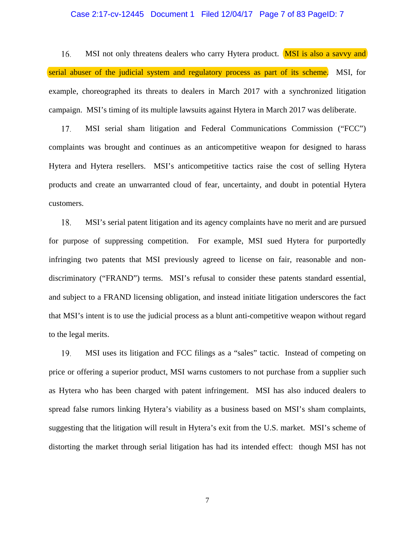#### Case 2:17-cv-12445 Document 1 Filed 12/04/17 Page 7 of 83 PageID: 7

MSI not only threatens dealers who carry Hytera product. MSI is also a savvy and 16. serial abuser of the judicial system and regulatory process as part of its scheme. MSI, for example, choreographed its threats to dealers in March 2017 with a synchronized litigation campaign. MSI's timing of its multiple lawsuits against Hytera in March 2017 was deliberate.

17. MSI serial sham litigation and Federal Communications Commission ("FCC") complaints was brought and continues as an anticompetitive weapon for designed to harass Hytera and Hytera resellers. MSI's anticompetitive tactics raise the cost of selling Hytera products and create an unwarranted cloud of fear, uncertainty, and doubt in potential Hytera customers.

MSI's serial patent litigation and its agency complaints have no merit and are pursued 18. for purpose of suppressing competition. For example, MSI sued Hytera for purportedly infringing two patents that MSI previously agreed to license on fair, reasonable and nondiscriminatory ("FRAND") terms. MSI's refusal to consider these patents standard essential, and subject to a FRAND licensing obligation, and instead initiate litigation underscores the fact that MSI's intent is to use the judicial process as a blunt anti-competitive weapon without regard to the legal merits.

19. MSI uses its litigation and FCC filings as a "sales" tactic. Instead of competing on price or offering a superior product, MSI warns customers to not purchase from a supplier such as Hytera who has been charged with patent infringement. MSI has also induced dealers to spread false rumors linking Hytera's viability as a business based on MSI's sham complaints, suggesting that the litigation will result in Hytera's exit from the U.S. market. MSI's scheme of distorting the market through serial litigation has had its intended effect: though MSI has not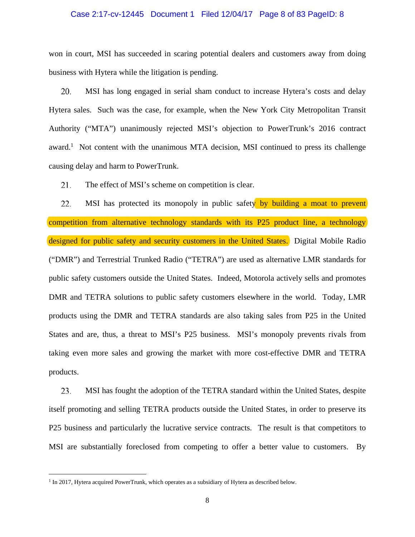#### Case 2:17-cv-12445 Document 1 Filed 12/04/17 Page 8 of 83 PageID: 8

won in court, MSI has succeeded in scaring potential dealers and customers away from doing business with Hytera while the litigation is pending.

20. MSI has long engaged in serial sham conduct to increase Hytera's costs and delay Hytera sales. Such was the case, for example, when the New York City Metropolitan Transit Authority ("MTA") unanimously rejected MSI's objection to PowerTrunk's 2016 contract award.<sup>1</sup> Not content with the unanimous MTA decision, MSI continued to press its challenge causing delay and harm to PowerTrunk.

21. The effect of MSI's scheme on competition is clear.

22. MSI has protected its monopoly in public safety by building a moat to prevent competition from alternative technology standards with its P25 product line, a technology designed for public safety and security customers in the United States. Digital Mobile Radio ("DMR") and Terrestrial Trunked Radio ("TETRA") are used as alternative LMR standards for public safety customers outside the United States. Indeed, Motorola actively sells and promotes DMR and TETRA solutions to public safety customers elsewhere in the world. Today, LMR products using the DMR and TETRA standards are also taking sales from P25 in the United States and are, thus, a threat to MSI's P25 business. MSI's monopoly prevents rivals from taking even more sales and growing the market with more cost-effective DMR and TETRA products.

23. MSI has fought the adoption of the TETRA standard within the United States, despite itself promoting and selling TETRA products outside the United States, in order to preserve its P25 business and particularly the lucrative service contracts. The result is that competitors to MSI are substantially foreclosed from competing to offer a better value to customers. By

<u>.</u>

 $<sup>1</sup>$  In 2017, Hytera acquired PowerTrunk, which operates as a subsidiary of Hytera as described below.</sup>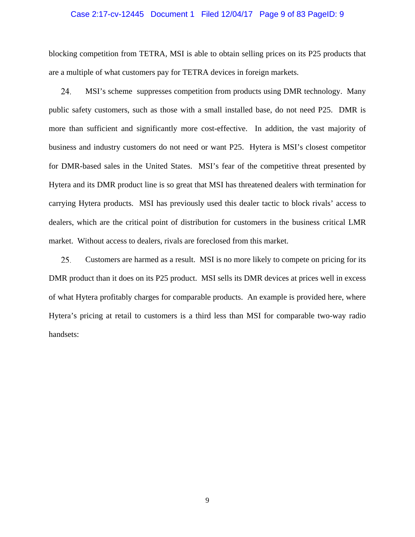# Case 2:17-cv-12445 Document 1 Filed 12/04/17 Page 9 of 83 PageID: 9

blocking competition from TETRA, MSI is able to obtain selling prices on its P25 products that are a multiple of what customers pay for TETRA devices in foreign markets.

24. MSI's scheme suppresses competition from products using DMR technology. Many public safety customers, such as those with a small installed base, do not need P25. DMR is more than sufficient and significantly more cost-effective. In addition, the vast majority of business and industry customers do not need or want P25. Hytera is MSI's closest competitor for DMR-based sales in the United States. MSI's fear of the competitive threat presented by Hytera and its DMR product line is so great that MSI has threatened dealers with termination for carrying Hytera products. MSI has previously used this dealer tactic to block rivals' access to dealers, which are the critical point of distribution for customers in the business critical LMR market. Without access to dealers, rivals are foreclosed from this market.

25. Customers are harmed as a result. MSI is no more likely to compete on pricing for its DMR product than it does on its P25 product. MSI sells its DMR devices at prices well in excess of what Hytera profitably charges for comparable products. An example is provided here, where Hytera's pricing at retail to customers is a third less than MSI for comparable two-way radio handsets: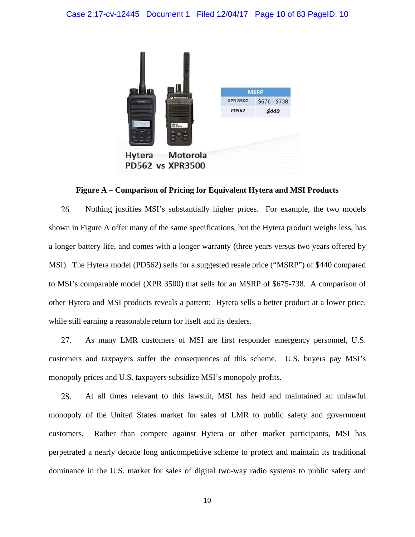

**Figure A – Comparison of Pricing for Equivalent Hytera and MSI Products** 

26. Nothing justifies MSI's substantially higher prices. For example, the two models shown in Figure A offer many of the same specifications, but the Hytera product weighs less, has a longer battery life, and comes with a longer warranty (three years versus two years offered by MSI). The Hytera model (PD562) sells for a suggested resale price ("MSRP") of \$440 compared to MSI's comparable model (XPR 3500) that sells for an MSRP of \$675-738. A comparison of other Hytera and MSI products reveals a pattern: Hytera sells a better product at a lower price, while still earning a reasonable return for itself and its dealers.

27. As many LMR customers of MSI are first responder emergency personnel, U.S. customers and taxpayers suffer the consequences of this scheme. U.S. buyers pay MSI's monopoly prices and U.S. taxpayers subsidize MSI's monopoly profits.

28. At all times relevant to this lawsuit, MSI has held and maintained an unlawful monopoly of the United States market for sales of LMR to public safety and government customers. Rather than compete against Hytera or other market participants, MSI has perpetrated a nearly decade long anticompetitive scheme to protect and maintain its traditional dominance in the U.S. market for sales of digital two-way radio systems to public safety and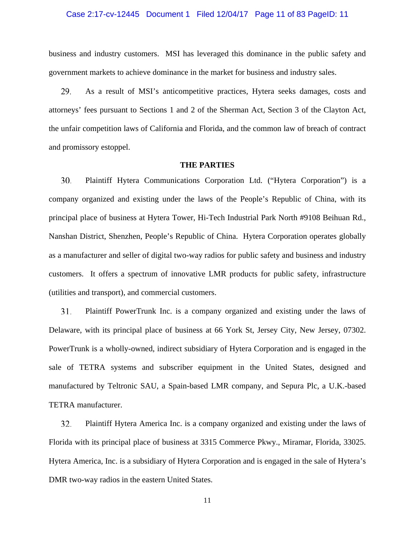# Case 2:17-cv-12445 Document 1 Filed 12/04/17 Page 11 of 83 PageID: 11

business and industry customers. MSI has leveraged this dominance in the public safety and government markets to achieve dominance in the market for business and industry sales.

29. As a result of MSI's anticompetitive practices, Hytera seeks damages, costs and attorneys' fees pursuant to Sections 1 and 2 of the Sherman Act, Section 3 of the Clayton Act, the unfair competition laws of California and Florida, and the common law of breach of contract and promissory estoppel.

#### **THE PARTIES**

30. Plaintiff Hytera Communications Corporation Ltd. ("Hytera Corporation") is a company organized and existing under the laws of the People's Republic of China, with its principal place of business at Hytera Tower, Hi-Tech Industrial Park North #9108 Beihuan Rd., Nanshan District, Shenzhen, People's Republic of China. Hytera Corporation operates globally as a manufacturer and seller of digital two-way radios for public safety and business and industry customers. It offers a spectrum of innovative LMR products for public safety, infrastructure (utilities and transport), and commercial customers.

31. Plaintiff PowerTrunk Inc. is a company organized and existing under the laws of Delaware, with its principal place of business at 66 York St, Jersey City, New Jersey, 07302. PowerTrunk is a wholly-owned, indirect subsidiary of Hytera Corporation and is engaged in the sale of TETRA systems and subscriber equipment in the United States, designed and manufactured by Teltronic SAU, a Spain-based LMR company, and Sepura Plc, a U.K.-based TETRA manufacturer.

32. Plaintiff Hytera America Inc. is a company organized and existing under the laws of Florida with its principal place of business at 3315 Commerce Pkwy., Miramar, Florida, 33025. Hytera America, Inc. is a subsidiary of Hytera Corporation and is engaged in the sale of Hytera's DMR two-way radios in the eastern United States.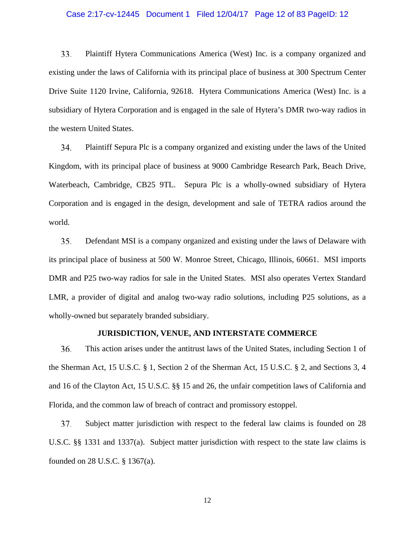# Case 2:17-cv-12445 Document 1 Filed 12/04/17 Page 12 of 83 PageID: 12

33. Plaintiff Hytera Communications America (West) Inc. is a company organized and existing under the laws of California with its principal place of business at 300 Spectrum Center Drive Suite 1120 Irvine, California, 92618. Hytera Communications America (West) Inc. is a subsidiary of Hytera Corporation and is engaged in the sale of Hytera's DMR two-way radios in the western United States.

34. Plaintiff Sepura Plc is a company organized and existing under the laws of the United Kingdom, with its principal place of business at 9000 Cambridge Research Park, Beach Drive, Waterbeach, Cambridge, CB25 9TL. Sepura Plc is a wholly-owned subsidiary of Hytera Corporation and is engaged in the design, development and sale of TETRA radios around the world.

35. Defendant MSI is a company organized and existing under the laws of Delaware with its principal place of business at 500 W. Monroe Street, Chicago, Illinois, 60661. MSI imports DMR and P25 two-way radios for sale in the United States. MSI also operates Vertex Standard LMR, a provider of digital and analog two-way radio solutions, including P25 solutions, as a wholly-owned but separately branded subsidiary.

# **JURISDICTION, VENUE, AND INTERSTATE COMMERCE**

36. This action arises under the antitrust laws of the United States, including Section 1 of the Sherman Act, 15 U.S.C. § 1, Section 2 of the Sherman Act, 15 U.S.C. § 2, and Sections 3, 4 and 16 of the Clayton Act, 15 U.S.C. §§ 15 and 26, the unfair competition laws of California and Florida, and the common law of breach of contract and promissory estoppel.

37. Subject matter jurisdiction with respect to the federal law claims is founded on 28 U.S.C. §§ 1331 and 1337(a). Subject matter jurisdiction with respect to the state law claims is founded on 28 U.S.C. § 1367(a).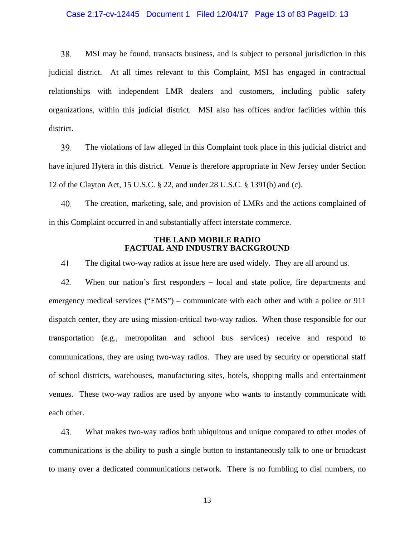# Case 2:17-cv-12445 Document 1 Filed 12/04/17 Page 13 of 83 PageID: 13

38. MSI may be found, transacts business, and is subject to personal jurisdiction in this judicial district. At all times relevant to this Complaint, MSI has engaged in contractual relationships with independent LMR dealers and customers, including public safety organizations, within this judicial district. MSI also has offices and/or facilities within this district.

39. The violations of law alleged in this Complaint took place in this judicial district and have injured Hytera in this district. Venue is therefore appropriate in New Jersey under Section 12 of the Clayton Act, 15 U.S.C. § 22, and under 28 U.S.C. § 1391(b) and (c).

40. The creation, marketing, sale, and provision of LMRs and the actions complained of in this Complaint occurred in and substantially affect interstate commerce.

# **THE LAND MOBILE RADIO FACTUAL AND INDUSTRY BACKGROUND**

41. The digital two-way radios at issue here are used widely. They are all around us.

42. When our nation's first responders – local and state police, fire departments and emergency medical services ("EMS") – communicate with each other and with a police or 911 dispatch center, they are using mission-critical two-way radios. When those responsible for our transportation (e.g., metropolitan and school bus services) receive and respond to communications, they are using two-way radios. They are used by security or operational staff of school districts, warehouses, manufacturing sites, hotels, shopping malls and entertainment venues. These two-way radios are used by anyone who wants to instantly communicate with each other.

43. What makes two-way radios both ubiquitous and unique compared to other modes of communications is the ability to push a single button to instantaneously talk to one or broadcast to many over a dedicated communications network. There is no fumbling to dial numbers, no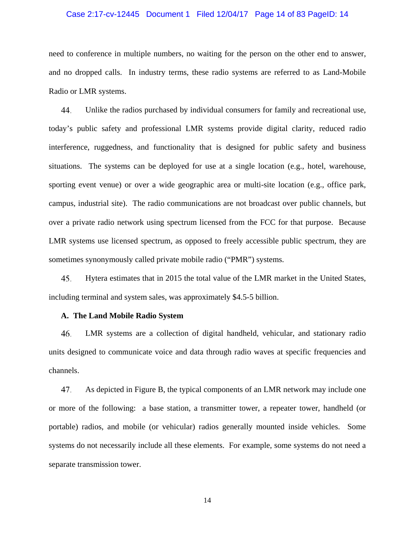# Case 2:17-cv-12445 Document 1 Filed 12/04/17 Page 14 of 83 PageID: 14

need to conference in multiple numbers, no waiting for the person on the other end to answer, and no dropped calls. In industry terms, these radio systems are referred to as Land-Mobile Radio or LMR systems.

44. Unlike the radios purchased by individual consumers for family and recreational use, today's public safety and professional LMR systems provide digital clarity, reduced radio interference, ruggedness, and functionality that is designed for public safety and business situations. The systems can be deployed for use at a single location (e.g., hotel, warehouse, sporting event venue) or over a wide geographic area or multi-site location (e.g., office park, campus, industrial site). The radio communications are not broadcast over public channels, but over a private radio network using spectrum licensed from the FCC for that purpose. Because LMR systems use licensed spectrum, as opposed to freely accessible public spectrum, they are sometimes synonymously called private mobile radio ("PMR") systems.

45. Hytera estimates that in 2015 the total value of the LMR market in the United States, including terminal and system sales, was approximately \$4.5-5 billion.

#### **A. The Land Mobile Radio System**

LMR systems are a collection of digital handheld, vehicular, and stationary radio 46. units designed to communicate voice and data through radio waves at specific frequencies and channels.

47. As depicted in Figure B, the typical components of an LMR network may include one or more of the following: a base station, a transmitter tower, a repeater tower, handheld (or portable) radios, and mobile (or vehicular) radios generally mounted inside vehicles. Some systems do not necessarily include all these elements. For example, some systems do not need a separate transmission tower.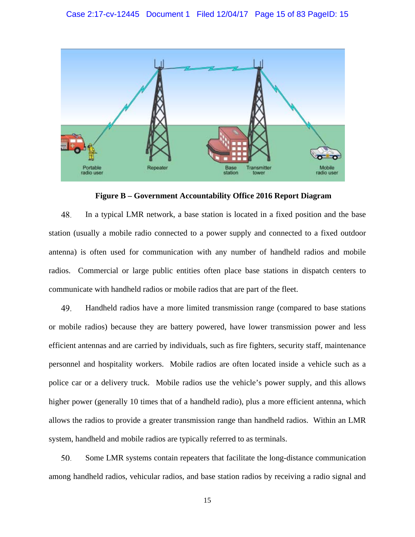

**Figure B – Government Accountability Office 2016 Report Diagram** 

48. In a typical LMR network, a base station is located in a fixed position and the base station (usually a mobile radio connected to a power supply and connected to a fixed outdoor antenna) is often used for communication with any number of handheld radios and mobile radios. Commercial or large public entities often place base stations in dispatch centers to communicate with handheld radios or mobile radios that are part of the fleet.

49. Handheld radios have a more limited transmission range (compared to base stations or mobile radios) because they are battery powered, have lower transmission power and less efficient antennas and are carried by individuals, such as fire fighters, security staff, maintenance personnel and hospitality workers. Mobile radios are often located inside a vehicle such as a police car or a delivery truck. Mobile radios use the vehicle's power supply, and this allows higher power (generally 10 times that of a handheld radio), plus a more efficient antenna, which allows the radios to provide a greater transmission range than handheld radios. Within an LMR system, handheld and mobile radios are typically referred to as terminals.

50. Some LMR systems contain repeaters that facilitate the long-distance communication among handheld radios, vehicular radios, and base station radios by receiving a radio signal and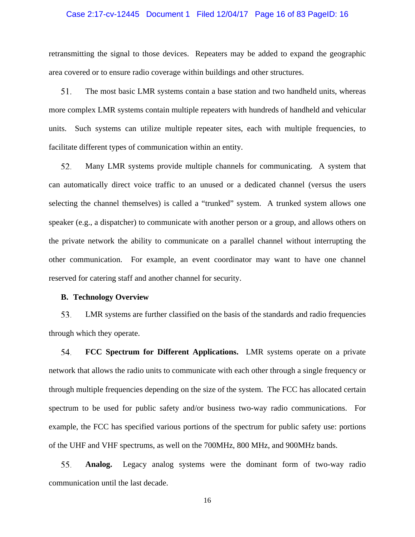# Case 2:17-cv-12445 Document 1 Filed 12/04/17 Page 16 of 83 PageID: 16

retransmitting the signal to those devices. Repeaters may be added to expand the geographic area covered or to ensure radio coverage within buildings and other structures.

51. The most basic LMR systems contain a base station and two handheld units, whereas more complex LMR systems contain multiple repeaters with hundreds of handheld and vehicular units. Such systems can utilize multiple repeater sites, each with multiple frequencies, to facilitate different types of communication within an entity.

52. Many LMR systems provide multiple channels for communicating. A system that can automatically direct voice traffic to an unused or a dedicated channel (versus the users selecting the channel themselves) is called a "trunked" system. A trunked system allows one speaker (e.g., a dispatcher) to communicate with another person or a group, and allows others on the private network the ability to communicate on a parallel channel without interrupting the other communication. For example, an event coordinator may want to have one channel reserved for catering staff and another channel for security.

# **B. Technology Overview**

53. LMR systems are further classified on the basis of the standards and radio frequencies through which they operate.

54. **FCC Spectrum for Different Applications.** LMR systems operate on a private network that allows the radio units to communicate with each other through a single frequency or through multiple frequencies depending on the size of the system. The FCC has allocated certain spectrum to be used for public safety and/or business two-way radio communications. For example, the FCC has specified various portions of the spectrum for public safety use: portions of the UHF and VHF spectrums, as well on the 700MHz, 800 MHz, and 900MHz bands.

55. **Analog.** Legacy analog systems were the dominant form of two-way radio communication until the last decade.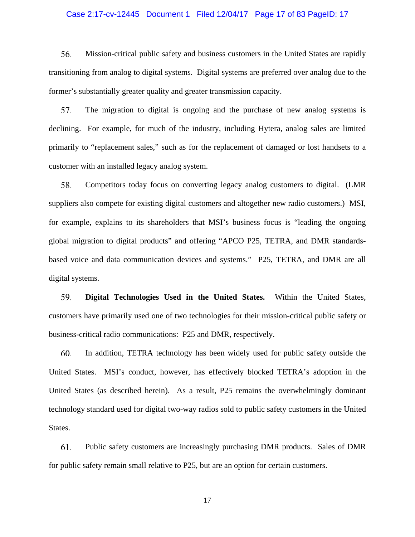# Case 2:17-cv-12445 Document 1 Filed 12/04/17 Page 17 of 83 PageID: 17

56. Mission-critical public safety and business customers in the United States are rapidly transitioning from analog to digital systems. Digital systems are preferred over analog due to the former's substantially greater quality and greater transmission capacity.

57. The migration to digital is ongoing and the purchase of new analog systems is declining. For example, for much of the industry, including Hytera, analog sales are limited primarily to "replacement sales," such as for the replacement of damaged or lost handsets to a customer with an installed legacy analog system.

58. Competitors today focus on converting legacy analog customers to digital. (LMR suppliers also compete for existing digital customers and altogether new radio customers.) MSI, for example, explains to its shareholders that MSI's business focus is "leading the ongoing global migration to digital products" and offering "APCO P25, TETRA, and DMR standardsbased voice and data communication devices and systems." P25, TETRA, and DMR are all digital systems.

59. **Digital Technologies Used in the United States.** Within the United States, customers have primarily used one of two technologies for their mission-critical public safety or business-critical radio communications: P25 and DMR, respectively.

In addition, TETRA technology has been widely used for public safety outside the 60. United States. MSI's conduct, however, has effectively blocked TETRA's adoption in the United States (as described herein). As a result, P25 remains the overwhelmingly dominant technology standard used for digital two-way radios sold to public safety customers in the United States.

61. Public safety customers are increasingly purchasing DMR products. Sales of DMR for public safety remain small relative to P25, but are an option for certain customers.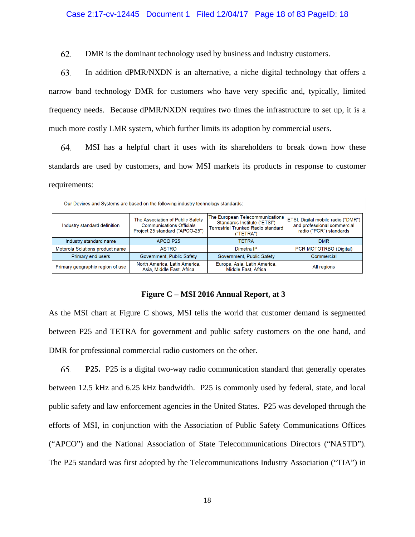# Case 2:17-cv-12445 Document 1 Filed 12/04/17 Page 18 of 83 PageID: 18

62. DMR is the dominant technology used by business and industry customers.

63. In addition dPMR/NXDN is an alternative, a niche digital technology that offers a narrow band technology DMR for customers who have very specific and, typically, limited frequency needs. Because dPMR/NXDN requires two times the infrastructure to set up, it is a much more costly LMR system, which further limits its adoption by commercial users.

64. MSI has a helpful chart it uses with its shareholders to break down how these standards are used by customers, and how MSI markets its products in response to customer requirements:

| Industry standard definition     | The Association of Public Safety<br><b>Communications Officials</b><br>Project 25 standard ("APCO-25") | The European Telecommunications<br>Standards Institute ("ETSI")<br><b>Terrestrial Trunked Radio standard</b><br>("TETRA") | ETSI, Digital mobile radio ("DMI<br>and professional commercial<br>radio ("PCR") standards |  |  |
|----------------------------------|--------------------------------------------------------------------------------------------------------|---------------------------------------------------------------------------------------------------------------------------|--------------------------------------------------------------------------------------------|--|--|
| Industry standard name           | APCO P25                                                                                               | <b>TETRA</b>                                                                                                              | <b>DMR</b>                                                                                 |  |  |
| Motorola Solutions product name  | <b>ASTRO</b>                                                                                           | Dimetra IP                                                                                                                | PCR MOTOTRBO (Digital)                                                                     |  |  |
| <b>Primary end users</b>         | Government, Public Safety                                                                              | Government, Public Safety                                                                                                 | Commercial                                                                                 |  |  |
| Primary geographic region of use | North America, Latin America,<br>Asia, Middle East, Africa                                             | Europe, Asia, Latin America,<br>Middle East, Africa                                                                       | All regions                                                                                |  |  |

Our Devices and Systems are based on the following industry technology standards:

# **Figure C – MSI 2016 Annual Report, at 3**

As the MSI chart at Figure C shows, MSI tells the world that customer demand is segmented between P25 and TETRA for government and public safety customers on the one hand, and DMR for professional commercial radio customers on the other.

65. **P25.** P25 is a digital two-way radio communication standard that generally operates between 12.5 kHz and 6.25 kHz bandwidth. P25 is commonly used by federal, state, and local public safety and law enforcement agencies in the United States. P25 was developed through the efforts of MSI, in conjunction with the Association of Public Safety Communications Offices ("APCO") and the National Association of State Telecommunications Directors ("NASTD"). The P25 standard was first adopted by the Telecommunications Industry Association ("TIA") in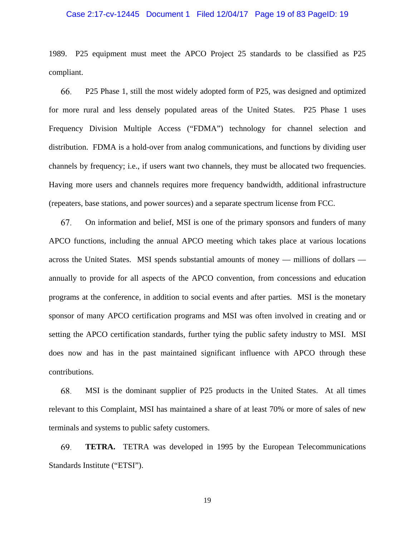# Case 2:17-cv-12445 Document 1 Filed 12/04/17 Page 19 of 83 PageID: 19

1989. P25 equipment must meet the APCO Project 25 standards to be classified as P25 compliant.

66. P25 Phase 1, still the most widely adopted form of P25, was designed and optimized for more rural and less densely populated areas of the United States. P25 Phase 1 uses Frequency Division Multiple Access ("FDMA") technology for channel selection and distribution. FDMA is a hold-over from analog communications, and functions by dividing user channels by frequency; i.e., if users want two channels, they must be allocated two frequencies. Having more users and channels requires more frequency bandwidth, additional infrastructure (repeaters, base stations, and power sources) and a separate spectrum license from FCC.

67. On information and belief, MSI is one of the primary sponsors and funders of many APCO functions, including the annual APCO meeting which takes place at various locations across the United States. MSI spends substantial amounts of money — millions of dollars annually to provide for all aspects of the APCO convention, from concessions and education programs at the conference, in addition to social events and after parties. MSI is the monetary sponsor of many APCO certification programs and MSI was often involved in creating and or setting the APCO certification standards, further tying the public safety industry to MSI. MSI does now and has in the past maintained significant influence with APCO through these contributions.

68. MSI is the dominant supplier of P25 products in the United States. At all times relevant to this Complaint, MSI has maintained a share of at least 70% or more of sales of new terminals and systems to public safety customers.

69. **TETRA.** TETRA was developed in 1995 by the European Telecommunications Standards Institute ("ETSI").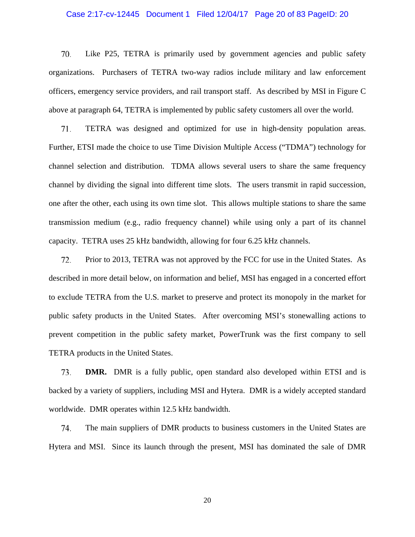# Case 2:17-cv-12445 Document 1 Filed 12/04/17 Page 20 of 83 PageID: 20

70. Like P25, TETRA is primarily used by government agencies and public safety organizations. Purchasers of TETRA two-way radios include military and law enforcement officers, emergency service providers, and rail transport staff. As described by MSI in Figure C above at paragraph 64, TETRA is implemented by public safety customers all over the world.

71. TETRA was designed and optimized for use in high-density population areas. Further, ETSI made the choice to use Time Division Multiple Access ("TDMA") technology for channel selection and distribution. TDMA allows several users to share the same frequency channel by dividing the signal into different time slots. The users transmit in rapid succession, one after the other, each using its own time slot. This allows multiple stations to share the same transmission medium (e.g., radio frequency channel) while using only a part of its channel capacity. TETRA uses 25 kHz bandwidth, allowing for four 6.25 kHz channels.

72. Prior to 2013, TETRA was not approved by the FCC for use in the United States. As described in more detail below, on information and belief, MSI has engaged in a concerted effort to exclude TETRA from the U.S. market to preserve and protect its monopoly in the market for public safety products in the United States. After overcoming MSI's stonewalling actions to prevent competition in the public safety market, PowerTrunk was the first company to sell TETRA products in the United States.

**DMR.** DMR is a fully public, open standard also developed within ETSI and is 73. backed by a variety of suppliers, including MSI and Hytera. DMR is a widely accepted standard worldwide. DMR operates within 12.5 kHz bandwidth.

74. The main suppliers of DMR products to business customers in the United States are Hytera and MSI. Since its launch through the present, MSI has dominated the sale of DMR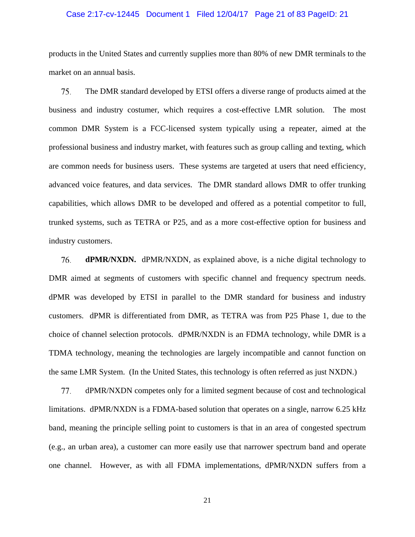# Case 2:17-cv-12445 Document 1 Filed 12/04/17 Page 21 of 83 PageID: 21

products in the United States and currently supplies more than 80% of new DMR terminals to the market on an annual basis.

75. The DMR standard developed by ETSI offers a diverse range of products aimed at the business and industry costumer, which requires a cost-effective LMR solution. The most common DMR System is a FCC-licensed system typically using a repeater, aimed at the professional business and industry market, with features such as group calling and texting, which are common needs for business users. These systems are targeted at users that need efficiency, advanced voice features, and data services. The DMR standard allows DMR to offer trunking capabilities, which allows DMR to be developed and offered as a potential competitor to full, trunked systems, such as TETRA or P25, and as a more cost-effective option for business and industry customers.

76. **dPMR/NXDN.** dPMR/NXDN, as explained above, is a niche digital technology to DMR aimed at segments of customers with specific channel and frequency spectrum needs. dPMR was developed by ETSI in parallel to the DMR standard for business and industry customers. dPMR is differentiated from DMR, as TETRA was from P25 Phase 1, due to the choice of channel selection protocols. dPMR/NXDN is an FDMA technology, while DMR is a TDMA technology, meaning the technologies are largely incompatible and cannot function on the same LMR System. (In the United States, this technology is often referred as just NXDN.)

77. dPMR/NXDN competes only for a limited segment because of cost and technological limitations. dPMR/NXDN is a FDMA-based solution that operates on a single, narrow 6.25 kHz band, meaning the principle selling point to customers is that in an area of congested spectrum (e.g., an urban area), a customer can more easily use that narrower spectrum band and operate one channel. However, as with all FDMA implementations, dPMR/NXDN suffers from a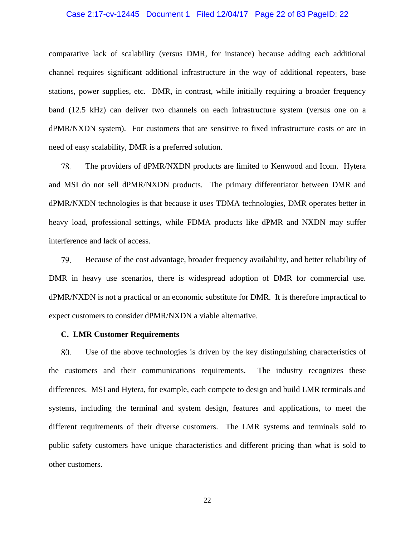# Case 2:17-cv-12445 Document 1 Filed 12/04/17 Page 22 of 83 PageID: 22

comparative lack of scalability (versus DMR, for instance) because adding each additional channel requires significant additional infrastructure in the way of additional repeaters, base stations, power supplies, etc. DMR, in contrast, while initially requiring a broader frequency band (12.5 kHz) can deliver two channels on each infrastructure system (versus one on a dPMR/NXDN system). For customers that are sensitive to fixed infrastructure costs or are in need of easy scalability, DMR is a preferred solution.

78. The providers of dPMR/NXDN products are limited to Kenwood and Icom. Hytera and MSI do not sell dPMR/NXDN products. The primary differentiator between DMR and dPMR/NXDN technologies is that because it uses TDMA technologies, DMR operates better in heavy load, professional settings, while FDMA products like dPMR and NXDN may suffer interference and lack of access.

79. Because of the cost advantage, broader frequency availability, and better reliability of DMR in heavy use scenarios, there is widespread adoption of DMR for commercial use. dPMR/NXDN is not a practical or an economic substitute for DMR. It is therefore impractical to expect customers to consider dPMR/NXDN a viable alternative.

#### **C. LMR Customer Requirements**

Use of the above technologies is driven by the key distinguishing characteristics of 80. the customers and their communications requirements. The industry recognizes these differences. MSI and Hytera, for example, each compete to design and build LMR terminals and systems, including the terminal and system design, features and applications, to meet the different requirements of their diverse customers. The LMR systems and terminals sold to public safety customers have unique characteristics and different pricing than what is sold to other customers.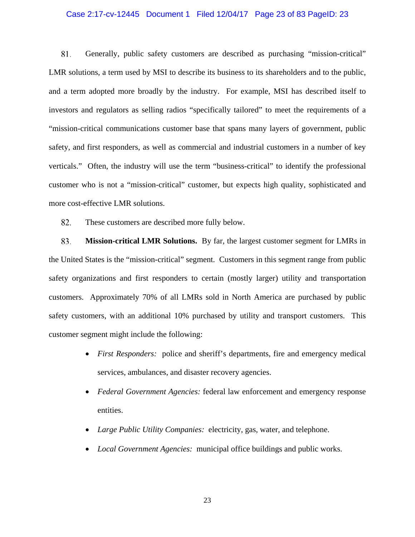# Case 2:17-cv-12445 Document 1 Filed 12/04/17 Page 23 of 83 PageID: 23

81. Generally, public safety customers are described as purchasing "mission-critical" LMR solutions, a term used by MSI to describe its business to its shareholders and to the public, and a term adopted more broadly by the industry. For example, MSI has described itself to investors and regulators as selling radios "specifically tailored" to meet the requirements of a "mission-critical communications customer base that spans many layers of government, public safety, and first responders, as well as commercial and industrial customers in a number of key verticals." Often, the industry will use the term "business-critical" to identify the professional customer who is not a "mission-critical" customer, but expects high quality, sophisticated and more cost-effective LMR solutions.

82. These customers are described more fully below.

83. **Mission-critical LMR Solutions.** By far, the largest customer segment for LMRs in the United States is the "mission-critical" segment. Customers in this segment range from public safety organizations and first responders to certain (mostly larger) utility and transportation customers. Approximately 70% of all LMRs sold in North America are purchased by public safety customers, with an additional 10% purchased by utility and transport customers. This customer segment might include the following:

- *First Responders:* police and sheriff's departments, fire and emergency medical services, ambulances, and disaster recovery agencies.
- *Federal Government Agencies:* federal law enforcement and emergency response entities.
- *Large Public Utility Companies:* electricity, gas, water, and telephone.
- *Local Government Agencies:* municipal office buildings and public works.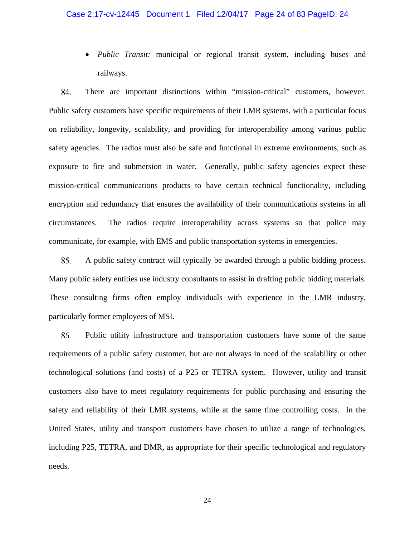# Case 2:17-cv-12445 Document 1 Filed 12/04/17 Page 24 of 83 PageID: 24

 *Public Transit:* municipal or regional transit system, including buses and railways.

There are important distinctions within "mission-critical" customers, however. 84. Public safety customers have specific requirements of their LMR systems, with a particular focus on reliability, longevity, scalability, and providing for interoperability among various public safety agencies. The radios must also be safe and functional in extreme environments, such as exposure to fire and submersion in water. Generally, public safety agencies expect these mission-critical communications products to have certain technical functionality, including encryption and redundancy that ensures the availability of their communications systems in all circumstances. The radios require interoperability across systems so that police may communicate, for example, with EMS and public transportation systems in emergencies.

85. A public safety contract will typically be awarded through a public bidding process. Many public safety entities use industry consultants to assist in drafting public bidding materials. These consulting firms often employ individuals with experience in the LMR industry, particularly former employees of MSI.

86. Public utility infrastructure and transportation customers have some of the same requirements of a public safety customer, but are not always in need of the scalability or other technological solutions (and costs) of a P25 or TETRA system. However, utility and transit customers also have to meet regulatory requirements for public purchasing and ensuring the safety and reliability of their LMR systems, while at the same time controlling costs. In the United States, utility and transport customers have chosen to utilize a range of technologies, including P25, TETRA, and DMR, as appropriate for their specific technological and regulatory needs.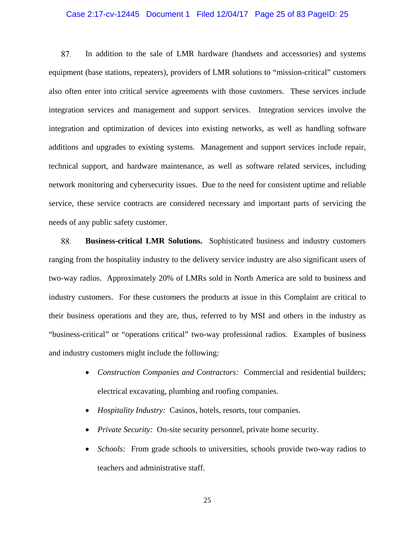# Case 2:17-cv-12445 Document 1 Filed 12/04/17 Page 25 of 83 PageID: 25

87. In addition to the sale of LMR hardware (handsets and accessories) and systems equipment (base stations, repeaters), providers of LMR solutions to "mission-critical" customers also often enter into critical service agreements with those customers. These services include integration services and management and support services. Integration services involve the integration and optimization of devices into existing networks, as well as handling software additions and upgrades to existing systems. Management and support services include repair, technical support, and hardware maintenance, as well as software related services, including network monitoring and cybersecurity issues. Due to the need for consistent uptime and reliable service, these service contracts are considered necessary and important parts of servicing the needs of any public safety customer.

88. **Business-critical LMR Solutions.** Sophisticated business and industry customers ranging from the hospitality industry to the delivery service industry are also significant users of two-way radios. Approximately 20% of LMRs sold in North America are sold to business and industry customers. For these customers the products at issue in this Complaint are critical to their business operations and they are, thus, referred to by MSI and others in the industry as "business-critical" or "operations critical" two-way professional radios. Examples of business and industry customers might include the following:

- Construction Companies and Contractors: Commercial and residential builders; electrical excavating, plumbing and roofing companies.
- *Hospitality Industry:* Casinos, hotels, resorts, tour companies.
- *Private Security:* On-site security personnel, private home security.
- *Schools:* From grade schools to universities, schools provide two-way radios to teachers and administrative staff.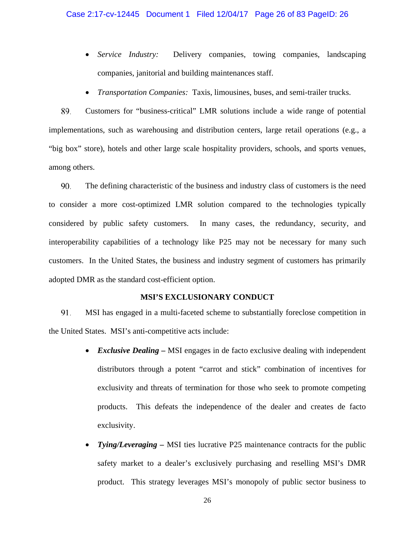# Case 2:17-cv-12445 Document 1 Filed 12/04/17 Page 26 of 83 PageID: 26

- *Service Industry:*Delivery companies, towing companies, landscaping companies, janitorial and building maintenances staff.
- *Transportation Companies:* Taxis, limousines, buses, and semi-trailer trucks.

Customers for "business-critical" LMR solutions include a wide range of potential 89. implementations, such as warehousing and distribution centers, large retail operations (e.g., a "big box" store), hotels and other large scale hospitality providers, schools, and sports venues, among others.

90. The defining characteristic of the business and industry class of customers is the need to consider a more cost-optimized LMR solution compared to the technologies typically considered by public safety customers. In many cases, the redundancy, security, and interoperability capabilities of a technology like P25 may not be necessary for many such customers. In the United States, the business and industry segment of customers has primarily adopted DMR as the standard cost-efficient option.

# **MSI'S EXCLUSIONARY CONDUCT**

91. MSI has engaged in a multi-faceted scheme to substantially foreclose competition in the United States. MSI's anti-competitive acts include:

- *Exclusive Dealing* MSI engages in de facto exclusive dealing with independent distributors through a potent "carrot and stick" combination of incentives for exclusivity and threats of termination for those who seek to promote competing products. This defeats the independence of the dealer and creates de facto exclusivity.
- *Tying/Leveraging –* MSI ties lucrative P25 maintenance contracts for the public safety market to a dealer's exclusively purchasing and reselling MSI's DMR product. This strategy leverages MSI's monopoly of public sector business to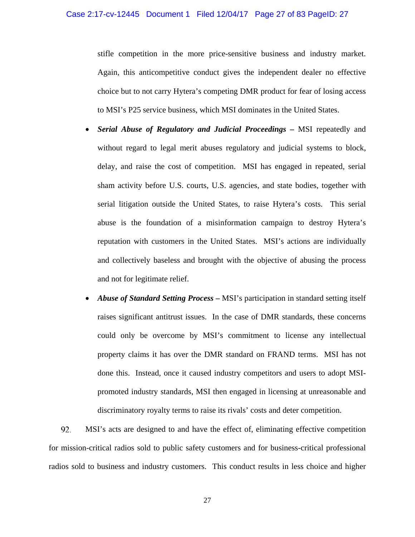stifle competition in the more price-sensitive business and industry market. Again, this anticompetitive conduct gives the independent dealer no effective choice but to not carry Hytera's competing DMR product for fear of losing access to MSI's P25 service business, which MSI dominates in the United States.

- *Serial Abuse of Regulatory and Judicial Proceedings –* MSI repeatedly and without regard to legal merit abuses regulatory and judicial systems to block, delay, and raise the cost of competition. MSI has engaged in repeated, serial sham activity before U.S. courts, U.S. agencies, and state bodies, together with serial litigation outside the United States, to raise Hytera's costs. This serial abuse is the foundation of a misinformation campaign to destroy Hytera's reputation with customers in the United States. MSI's actions are individually and collectively baseless and brought with the objective of abusing the process and not for legitimate relief.
- *Abuse of Standard Setting Process –* MSI's participation in standard setting itself raises significant antitrust issues. In the case of DMR standards, these concerns could only be overcome by MSI's commitment to license any intellectual property claims it has over the DMR standard on FRAND terms. MSI has not done this. Instead, once it caused industry competitors and users to adopt MSIpromoted industry standards, MSI then engaged in licensing at unreasonable and discriminatory royalty terms to raise its rivals' costs and deter competition.

92. MSI's acts are designed to and have the effect of, eliminating effective competition for mission-critical radios sold to public safety customers and for business-critical professional radios sold to business and industry customers. This conduct results in less choice and higher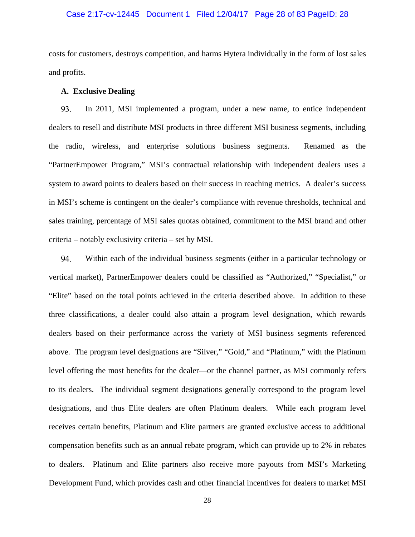# Case 2:17-cv-12445 Document 1 Filed 12/04/17 Page 28 of 83 PageID: 28

costs for customers, destroys competition, and harms Hytera individually in the form of lost sales and profits.

# **A. Exclusive Dealing**

93. In 2011, MSI implemented a program, under a new name, to entice independent dealers to resell and distribute MSI products in three different MSI business segments, including the radio, wireless, and enterprise solutions business segments. Renamed as the "PartnerEmpower Program," MSI's contractual relationship with independent dealers uses a system to award points to dealers based on their success in reaching metrics. A dealer's success in MSI's scheme is contingent on the dealer's compliance with revenue thresholds, technical and sales training, percentage of MSI sales quotas obtained, commitment to the MSI brand and other criteria – notably exclusivity criteria – set by MSI.

94. Within each of the individual business segments (either in a particular technology or vertical market), PartnerEmpower dealers could be classified as "Authorized," "Specialist," or "Elite" based on the total points achieved in the criteria described above. In addition to these three classifications, a dealer could also attain a program level designation, which rewards dealers based on their performance across the variety of MSI business segments referenced above. The program level designations are "Silver," "Gold," and "Platinum," with the Platinum level offering the most benefits for the dealer—or the channel partner, as MSI commonly refers to its dealers. The individual segment designations generally correspond to the program level designations, and thus Elite dealers are often Platinum dealers. While each program level receives certain benefits, Platinum and Elite partners are granted exclusive access to additional compensation benefits such as an annual rebate program, which can provide up to 2% in rebates to dealers. Platinum and Elite partners also receive more payouts from MSI's Marketing Development Fund, which provides cash and other financial incentives for dealers to market MSI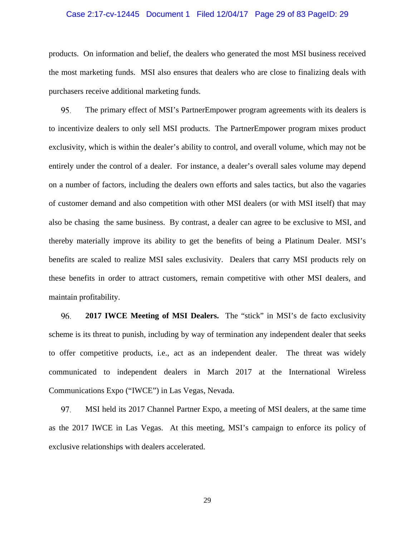# Case 2:17-cv-12445 Document 1 Filed 12/04/17 Page 29 of 83 PageID: 29

products. On information and belief, the dealers who generated the most MSI business received the most marketing funds. MSI also ensures that dealers who are close to finalizing deals with purchasers receive additional marketing funds.

95. The primary effect of MSI's PartnerEmpower program agreements with its dealers is to incentivize dealers to only sell MSI products. The PartnerEmpower program mixes product exclusivity, which is within the dealer's ability to control, and overall volume, which may not be entirely under the control of a dealer. For instance, a dealer's overall sales volume may depend on a number of factors, including the dealers own efforts and sales tactics, but also the vagaries of customer demand and also competition with other MSI dealers (or with MSI itself) that may also be chasing the same business. By contrast, a dealer can agree to be exclusive to MSI, and thereby materially improve its ability to get the benefits of being a Platinum Dealer. MSI's benefits are scaled to realize MSI sales exclusivity. Dealers that carry MSI products rely on these benefits in order to attract customers, remain competitive with other MSI dealers, and maintain profitability.

96. **2017 IWCE Meeting of MSI Dealers.** The "stick" in MSI's de facto exclusivity scheme is its threat to punish, including by way of termination any independent dealer that seeks to offer competitive products, i.e., act as an independent dealer. The threat was widely communicated to independent dealers in March 2017 at the International Wireless Communications Expo ("IWCE") in Las Vegas, Nevada.

97. MSI held its 2017 Channel Partner Expo, a meeting of MSI dealers, at the same time as the 2017 IWCE in Las Vegas. At this meeting, MSI's campaign to enforce its policy of exclusive relationships with dealers accelerated.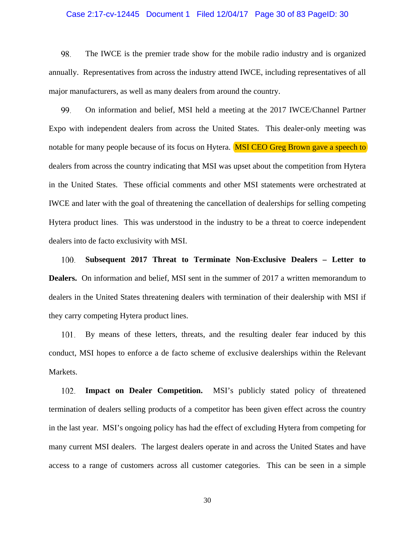# Case 2:17-cv-12445 Document 1 Filed 12/04/17 Page 30 of 83 PageID: 30

98. The IWCE is the premier trade show for the mobile radio industry and is organized annually. Representatives from across the industry attend IWCE, including representatives of all major manufacturers, as well as many dealers from around the country.

99. On information and belief, MSI held a meeting at the 2017 IWCE/Channel Partner Expo with independent dealers from across the United States. This dealer-only meeting was notable for many people because of its focus on Hytera. **MSI CEO Greg Brown gave a speech to** dealers from across the country indicating that MSI was upset about the competition from Hytera in the United States. These official comments and other MSI statements were orchestrated at IWCE and later with the goal of threatening the cancellation of dealerships for selling competing Hytera product lines. This was understood in the industry to be a threat to coerce independent dealers into de facto exclusivity with MSI.

100. **Subsequent 2017 Threat to Terminate Non-Exclusive Dealers – Letter to Dealers.** On information and belief, MSI sent in the summer of 2017 a written memorandum to dealers in the United States threatening dealers with termination of their dealership with MSI if they carry competing Hytera product lines.

101. By means of these letters, threats, and the resulting dealer fear induced by this conduct, MSI hopes to enforce a de facto scheme of exclusive dealerships within the Relevant Markets.

102. **Impact on Dealer Competition.** MSI's publicly stated policy of threatened termination of dealers selling products of a competitor has been given effect across the country in the last year. MSI's ongoing policy has had the effect of excluding Hytera from competing for many current MSI dealers. The largest dealers operate in and across the United States and have access to a range of customers across all customer categories. This can be seen in a simple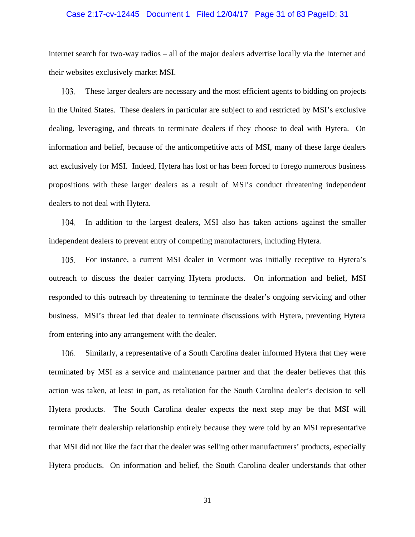# Case 2:17-cv-12445 Document 1 Filed 12/04/17 Page 31 of 83 PageID: 31

internet search for two-way radios – all of the major dealers advertise locally via the Internet and their websites exclusively market MSI.

These larger dealers are necessary and the most efficient agents to bidding on projects 103. in the United States. These dealers in particular are subject to and restricted by MSI's exclusive dealing, leveraging, and threats to terminate dealers if they choose to deal with Hytera. On information and belief, because of the anticompetitive acts of MSI, many of these large dealers act exclusively for MSI. Indeed, Hytera has lost or has been forced to forego numerous business propositions with these larger dealers as a result of MSI's conduct threatening independent dealers to not deal with Hytera.

104. In addition to the largest dealers, MSI also has taken actions against the smaller independent dealers to prevent entry of competing manufacturers, including Hytera.

105. For instance, a current MSI dealer in Vermont was initially receptive to Hytera's outreach to discuss the dealer carrying Hytera products. On information and belief, MSI responded to this outreach by threatening to terminate the dealer's ongoing servicing and other business. MSI's threat led that dealer to terminate discussions with Hytera, preventing Hytera from entering into any arrangement with the dealer.

Similarly, a representative of a South Carolina dealer informed Hytera that they were 106. terminated by MSI as a service and maintenance partner and that the dealer believes that this action was taken, at least in part, as retaliation for the South Carolina dealer's decision to sell Hytera products. The South Carolina dealer expects the next step may be that MSI will terminate their dealership relationship entirely because they were told by an MSI representative that MSI did not like the fact that the dealer was selling other manufacturers' products, especially Hytera products. On information and belief, the South Carolina dealer understands that other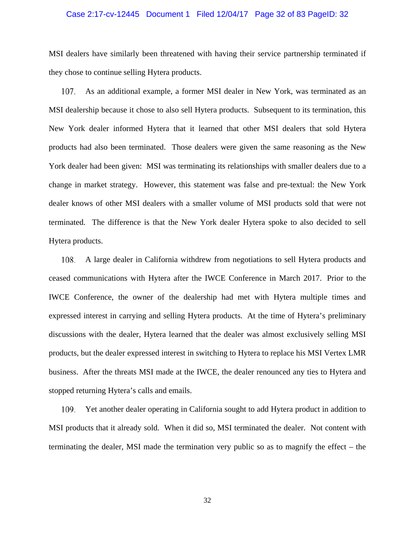# Case 2:17-cv-12445 Document 1 Filed 12/04/17 Page 32 of 83 PageID: 32

MSI dealers have similarly been threatened with having their service partnership terminated if they chose to continue selling Hytera products.

As an additional example, a former MSI dealer in New York, was terminated as an 107. MSI dealership because it chose to also sell Hytera products. Subsequent to its termination, this New York dealer informed Hytera that it learned that other MSI dealers that sold Hytera products had also been terminated. Those dealers were given the same reasoning as the New York dealer had been given: MSI was terminating its relationships with smaller dealers due to a change in market strategy. However, this statement was false and pre-textual: the New York dealer knows of other MSI dealers with a smaller volume of MSI products sold that were not terminated. The difference is that the New York dealer Hytera spoke to also decided to sell Hytera products.

108. A large dealer in California withdrew from negotiations to sell Hytera products and ceased communications with Hytera after the IWCE Conference in March 2017. Prior to the IWCE Conference, the owner of the dealership had met with Hytera multiple times and expressed interest in carrying and selling Hytera products. At the time of Hytera's preliminary discussions with the dealer, Hytera learned that the dealer was almost exclusively selling MSI products, but the dealer expressed interest in switching to Hytera to replace his MSI Vertex LMR business. After the threats MSI made at the IWCE, the dealer renounced any ties to Hytera and stopped returning Hytera's calls and emails.

Yet another dealer operating in California sought to add Hytera product in addition to MSI products that it already sold. When it did so, MSI terminated the dealer. Not content with terminating the dealer, MSI made the termination very public so as to magnify the effect – the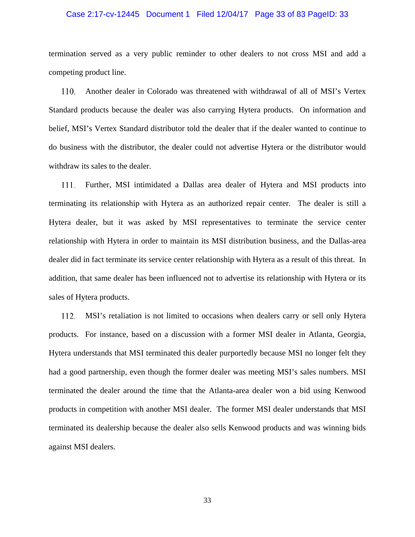# Case 2:17-cv-12445 Document 1 Filed 12/04/17 Page 33 of 83 PageID: 33

termination served as a very public reminder to other dealers to not cross MSI and add a competing product line.

Another dealer in Colorado was threatened with withdrawal of all of MSI's Vertex 110. Standard products because the dealer was also carrying Hytera products. On information and belief, MSI's Vertex Standard distributor told the dealer that if the dealer wanted to continue to do business with the distributor, the dealer could not advertise Hytera or the distributor would withdraw its sales to the dealer.

111. Further, MSI intimidated a Dallas area dealer of Hytera and MSI products into terminating its relationship with Hytera as an authorized repair center. The dealer is still a Hytera dealer, but it was asked by MSI representatives to terminate the service center relationship with Hytera in order to maintain its MSI distribution business, and the Dallas-area dealer did in fact terminate its service center relationship with Hytera as a result of this threat. In addition, that same dealer has been influenced not to advertise its relationship with Hytera or its sales of Hytera products.

112. MSI's retaliation is not limited to occasions when dealers carry or sell only Hytera products. For instance, based on a discussion with a former MSI dealer in Atlanta, Georgia, Hytera understands that MSI terminated this dealer purportedly because MSI no longer felt they had a good partnership, even though the former dealer was meeting MSI's sales numbers. MSI terminated the dealer around the time that the Atlanta-area dealer won a bid using Kenwood products in competition with another MSI dealer. The former MSI dealer understands that MSI terminated its dealership because the dealer also sells Kenwood products and was winning bids against MSI dealers.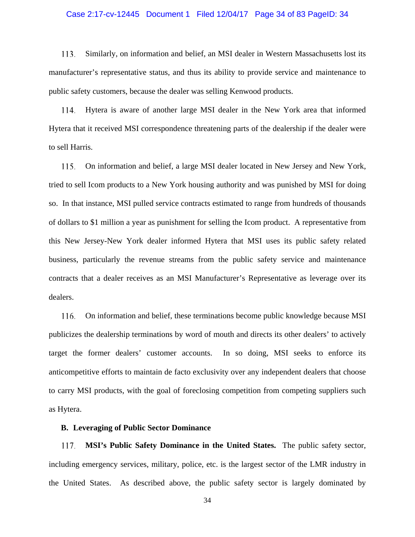# Case 2:17-cv-12445 Document 1 Filed 12/04/17 Page 34 of 83 PageID: 34

113. Similarly, on information and belief, an MSI dealer in Western Massachusetts lost its manufacturer's representative status, and thus its ability to provide service and maintenance to public safety customers, because the dealer was selling Kenwood products.

Hytera is aware of another large MSI dealer in the New York area that informed 114. Hytera that it received MSI correspondence threatening parts of the dealership if the dealer were to sell Harris.

115. On information and belief, a large MSI dealer located in New Jersey and New York, tried to sell Icom products to a New York housing authority and was punished by MSI for doing so. In that instance, MSI pulled service contracts estimated to range from hundreds of thousands of dollars to \$1 million a year as punishment for selling the Icom product. A representative from this New Jersey-New York dealer informed Hytera that MSI uses its public safety related business, particularly the revenue streams from the public safety service and maintenance contracts that a dealer receives as an MSI Manufacturer's Representative as leverage over its dealers.

116. On information and belief, these terminations become public knowledge because MSI publicizes the dealership terminations by word of mouth and directs its other dealers' to actively target the former dealers' customer accounts. In so doing, MSI seeks to enforce its anticompetitive efforts to maintain de facto exclusivity over any independent dealers that choose to carry MSI products, with the goal of foreclosing competition from competing suppliers such as Hytera.

#### **B. Leveraging of Public Sector Dominance**

**MSI's Public Safety Dominance in the United States.** The public safety sector, 117. including emergency services, military, police, etc. is the largest sector of the LMR industry in the United States. As described above, the public safety sector is largely dominated by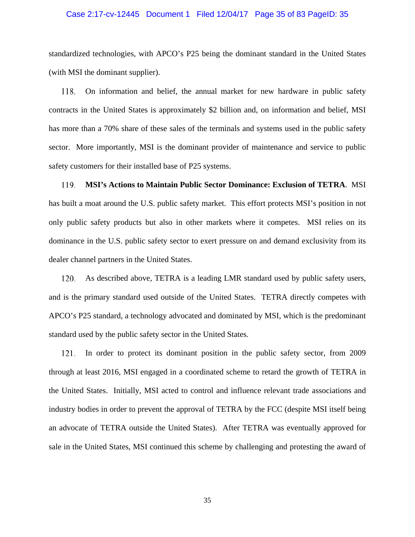# Case 2:17-cv-12445 Document 1 Filed 12/04/17 Page 35 of 83 PageID: 35

standardized technologies, with APCO's P25 being the dominant standard in the United States (with MSI the dominant supplier).

On information and belief, the annual market for new hardware in public safety 118. contracts in the United States is approximately \$2 billion and, on information and belief, MSI has more than a 70% share of these sales of the terminals and systems used in the public safety sector. More importantly, MSI is the dominant provider of maintenance and service to public safety customers for their installed base of P25 systems.

119. **MSI's Actions to Maintain Public Sector Dominance: Exclusion of TETRA**. MSI has built a moat around the U.S. public safety market. This effort protects MSI's position in not only public safety products but also in other markets where it competes. MSI relies on its dominance in the U.S. public safety sector to exert pressure on and demand exclusivity from its dealer channel partners in the United States.

As described above, TETRA is a leading LMR standard used by public safety users, 120. and is the primary standard used outside of the United States. TETRA directly competes with APCO's P25 standard, a technology advocated and dominated by MSI, which is the predominant standard used by the public safety sector in the United States.

In order to protect its dominant position in the public safety sector, from 2009 121. through at least 2016, MSI engaged in a coordinated scheme to retard the growth of TETRA in the United States. Initially, MSI acted to control and influence relevant trade associations and industry bodies in order to prevent the approval of TETRA by the FCC (despite MSI itself being an advocate of TETRA outside the United States). After TETRA was eventually approved for sale in the United States, MSI continued this scheme by challenging and protesting the award of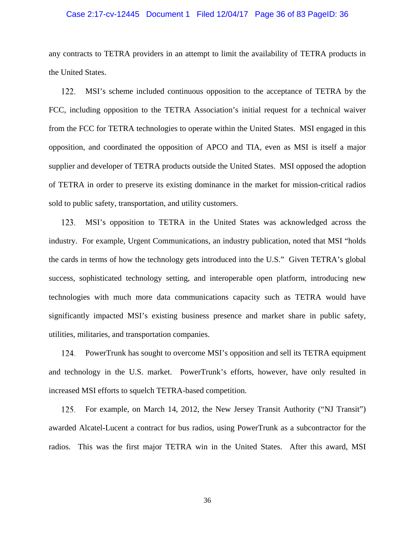# Case 2:17-cv-12445 Document 1 Filed 12/04/17 Page 36 of 83 PageID: 36

any contracts to TETRA providers in an attempt to limit the availability of TETRA products in the United States.

MSI's scheme included continuous opposition to the acceptance of TETRA by the 122. FCC, including opposition to the TETRA Association's initial request for a technical waiver from the FCC for TETRA technologies to operate within the United States. MSI engaged in this opposition, and coordinated the opposition of APCO and TIA, even as MSI is itself a major supplier and developer of TETRA products outside the United States. MSI opposed the adoption of TETRA in order to preserve its existing dominance in the market for mission-critical radios sold to public safety, transportation, and utility customers.

123. MSI's opposition to TETRA in the United States was acknowledged across the industry. For example, Urgent Communications, an industry publication, noted that MSI "holds the cards in terms of how the technology gets introduced into the U.S." Given TETRA's global success, sophisticated technology setting, and interoperable open platform, introducing new technologies with much more data communications capacity such as TETRA would have significantly impacted MSI's existing business presence and market share in public safety, utilities, militaries, and transportation companies.

PowerTrunk has sought to overcome MSI's opposition and sell its TETRA equipment 124. and technology in the U.S. market. PowerTrunk's efforts, however, have only resulted in increased MSI efforts to squelch TETRA-based competition.

For example, on March 14, 2012, the New Jersey Transit Authority ("NJ Transit") 125. awarded Alcatel-Lucent a contract for bus radios, using PowerTrunk as a subcontractor for the radios. This was the first major TETRA win in the United States. After this award, MSI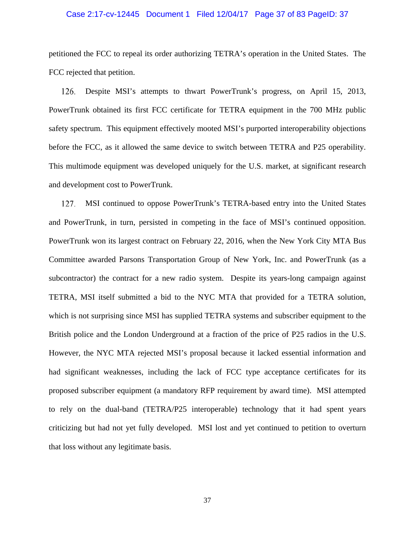## Case 2:17-cv-12445 Document 1 Filed 12/04/17 Page 37 of 83 PageID: 37

petitioned the FCC to repeal its order authorizing TETRA's operation in the United States. The FCC rejected that petition.

Despite MSI's attempts to thwart PowerTrunk's progress, on April 15, 2013, 126. PowerTrunk obtained its first FCC certificate for TETRA equipment in the 700 MHz public safety spectrum. This equipment effectively mooted MSI's purported interoperability objections before the FCC, as it allowed the same device to switch between TETRA and P25 operability. This multimode equipment was developed uniquely for the U.S. market, at significant research and development cost to PowerTrunk.

MSI continued to oppose PowerTrunk's TETRA-based entry into the United States 127. and PowerTrunk, in turn, persisted in competing in the face of MSI's continued opposition. PowerTrunk won its largest contract on February 22, 2016, when the New York City MTA Bus Committee awarded Parsons Transportation Group of New York, Inc. and PowerTrunk (as a subcontractor) the contract for a new radio system. Despite its years-long campaign against TETRA, MSI itself submitted a bid to the NYC MTA that provided for a TETRA solution, which is not surprising since MSI has supplied TETRA systems and subscriber equipment to the British police and the London Underground at a fraction of the price of P25 radios in the U.S. However, the NYC MTA rejected MSI's proposal because it lacked essential information and had significant weaknesses, including the lack of FCC type acceptance certificates for its proposed subscriber equipment (a mandatory RFP requirement by award time). MSI attempted to rely on the dual-band (TETRA/P25 interoperable) technology that it had spent years criticizing but had not yet fully developed. MSI lost and yet continued to petition to overturn that loss without any legitimate basis.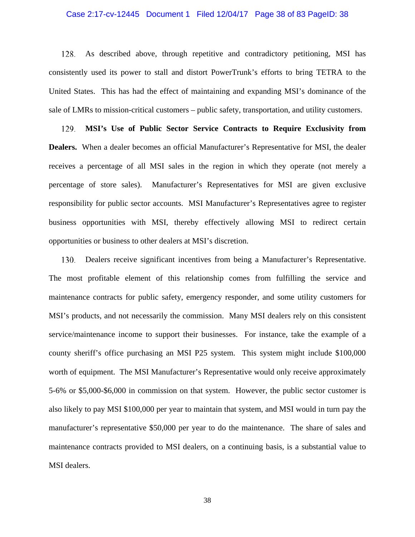## Case 2:17-cv-12445 Document 1 Filed 12/04/17 Page 38 of 83 PageID: 38

128. As described above, through repetitive and contradictory petitioning, MSI has consistently used its power to stall and distort PowerTrunk's efforts to bring TETRA to the United States. This has had the effect of maintaining and expanding MSI's dominance of the sale of LMRs to mission-critical customers – public safety, transportation, and utility customers.

129. **MSI's Use of Public Sector Service Contracts to Require Exclusivity from Dealers.** When a dealer becomes an official Manufacturer's Representative for MSI, the dealer receives a percentage of all MSI sales in the region in which they operate (not merely a percentage of store sales). Manufacturer's Representatives for MSI are given exclusive responsibility for public sector accounts. MSI Manufacturer's Representatives agree to register business opportunities with MSI, thereby effectively allowing MSI to redirect certain opportunities or business to other dealers at MSI's discretion.

130. Dealers receive significant incentives from being a Manufacturer's Representative. The most profitable element of this relationship comes from fulfilling the service and maintenance contracts for public safety, emergency responder, and some utility customers for MSI's products, and not necessarily the commission. Many MSI dealers rely on this consistent service/maintenance income to support their businesses. For instance, take the example of a county sheriff's office purchasing an MSI P25 system. This system might include \$100,000 worth of equipment. The MSI Manufacturer's Representative would only receive approximately 5-6% or \$5,000-\$6,000 in commission on that system. However, the public sector customer is also likely to pay MSI \$100,000 per year to maintain that system, and MSI would in turn pay the manufacturer's representative \$50,000 per year to do the maintenance. The share of sales and maintenance contracts provided to MSI dealers, on a continuing basis, is a substantial value to MSI dealers.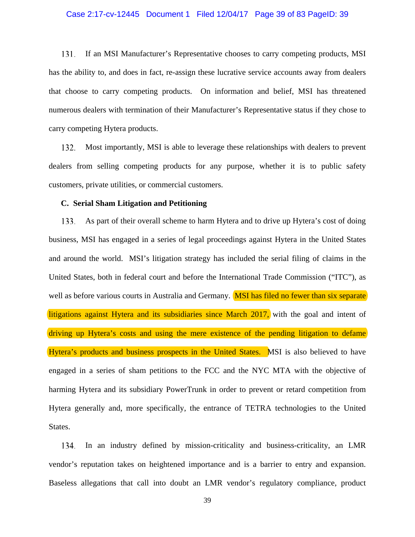## Case 2:17-cv-12445 Document 1 Filed 12/04/17 Page 39 of 83 PageID: 39

131. If an MSI Manufacturer's Representative chooses to carry competing products, MSI has the ability to, and does in fact, re-assign these lucrative service accounts away from dealers that choose to carry competing products. On information and belief, MSI has threatened numerous dealers with termination of their Manufacturer's Representative status if they chose to carry competing Hytera products.

Most importantly, MSI is able to leverage these relationships with dealers to prevent 132. dealers from selling competing products for any purpose, whether it is to public safety customers, private utilities, or commercial customers.

## **C. Serial Sham Litigation and Petitioning**

As part of their overall scheme to harm Hytera and to drive up Hytera's cost of doing 133. business, MSI has engaged in a series of legal proceedings against Hytera in the United States and around the world. MSI's litigation strategy has included the serial filing of claims in the United States, both in federal court and before the International Trade Commission ("ITC"), as well as before various courts in Australia and Germany. MSI has filed no fewer than six separate litigations against Hytera and its subsidiaries since March 2017, with the goal and intent of driving up Hytera's costs and using the mere existence of the pending litigation to defame Hytera's products and business prospects in the United States. MSI is also believed to have engaged in a series of sham petitions to the FCC and the NYC MTA with the objective of harming Hytera and its subsidiary PowerTrunk in order to prevent or retard competition from Hytera generally and, more specifically, the entrance of TETRA technologies to the United States.

In an industry defined by mission-criticality and business-criticality, an LMR 134. vendor's reputation takes on heightened importance and is a barrier to entry and expansion. Baseless allegations that call into doubt an LMR vendor's regulatory compliance, product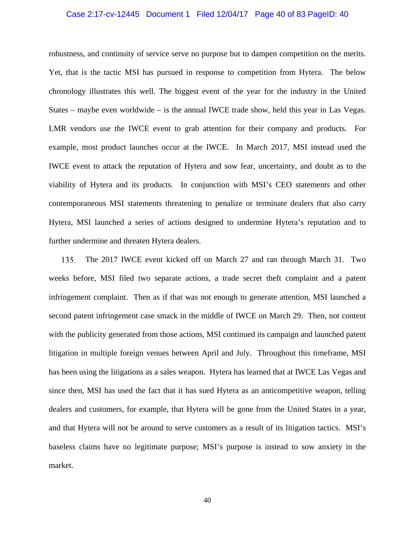## Case 2:17-cv-12445 Document 1 Filed 12/04/17 Page 40 of 83 PageID: 40

robustness, and continuity of service serve no purpose but to dampen competition on the merits. Yet, that is the tactic MSI has pursued in response to competition from Hytera. The below chronology illustrates this well. The biggest event of the year for the industry in the United States – maybe even worldwide – is the annual IWCE trade show, held this year in Las Vegas. LMR vendors use the IWCE event to grab attention for their company and products. For example, most product launches occur at the IWCE. In March 2017, MSI instead used the IWCE event to attack the reputation of Hytera and sow fear, uncertainty, and doubt as to the viability of Hytera and its products. In conjunction with MSI's CEO statements and other contemporaneous MSI statements threatening to penalize or terminate dealers that also carry Hytera, MSI launched a series of actions designed to undermine Hytera's reputation and to further undermine and threaten Hytera dealers.

135. The 2017 IWCE event kicked off on March 27 and ran through March 31. Two weeks before, MSI filed two separate actions, a trade secret theft complaint and a patent infringement complaint. Then as if that was not enough to generate attention, MSI launched a second patent infringement case smack in the middle of IWCE on March 29. Then, not content with the publicity generated from those actions, MSI continued its campaign and launched patent litigation in multiple foreign venues between April and July. Throughout this timeframe, MSI has been using the litigations as a sales weapon. Hytera has learned that at IWCE Las Vegas and since then, MSI has used the fact that it has sued Hytera as an anticompetitive weapon, telling dealers and customers, for example, that Hytera will be gone from the United States in a year, and that Hytera will not be around to serve customers as a result of its litigation tactics. MSI's baseless claims have no legitimate purpose; MSI's purpose is instead to sow anxiety in the market.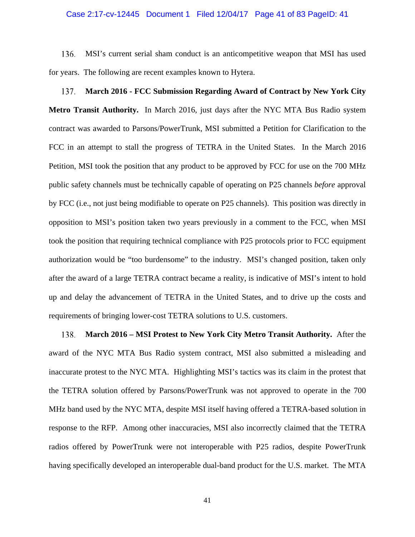## Case 2:17-cv-12445 Document 1 Filed 12/04/17 Page 41 of 83 PageID: 41

MSI's current serial sham conduct is an anticompetitive weapon that MSI has used 136. for years. The following are recent examples known to Hytera.

**March 2016 - FCC Submission Regarding Award of Contract by New York City**  137. **Metro Transit Authority.** In March 2016, just days after the NYC MTA Bus Radio system contract was awarded to Parsons/PowerTrunk, MSI submitted a Petition for Clarification to the FCC in an attempt to stall the progress of TETRA in the United States. In the March 2016 Petition, MSI took the position that any product to be approved by FCC for use on the 700 MHz public safety channels must be technically capable of operating on P25 channels *before* approval by FCC (i.e., not just being modifiable to operate on P25 channels). This position was directly in opposition to MSI's position taken two years previously in a comment to the FCC, when MSI took the position that requiring technical compliance with P25 protocols prior to FCC equipment authorization would be "too burdensome" to the industry. MSI's changed position, taken only after the award of a large TETRA contract became a reality, is indicative of MSI's intent to hold up and delay the advancement of TETRA in the United States, and to drive up the costs and requirements of bringing lower-cost TETRA solutions to U.S. customers.

138. **March 2016 – MSI Protest to New York City Metro Transit Authority.** After the award of the NYC MTA Bus Radio system contract, MSI also submitted a misleading and inaccurate protest to the NYC MTA. Highlighting MSI's tactics was its claim in the protest that the TETRA solution offered by Parsons/PowerTrunk was not approved to operate in the 700 MHz band used by the NYC MTA, despite MSI itself having offered a TETRA-based solution in response to the RFP. Among other inaccuracies, MSI also incorrectly claimed that the TETRA radios offered by PowerTrunk were not interoperable with P25 radios, despite PowerTrunk having specifically developed an interoperable dual-band product for the U.S. market. The MTA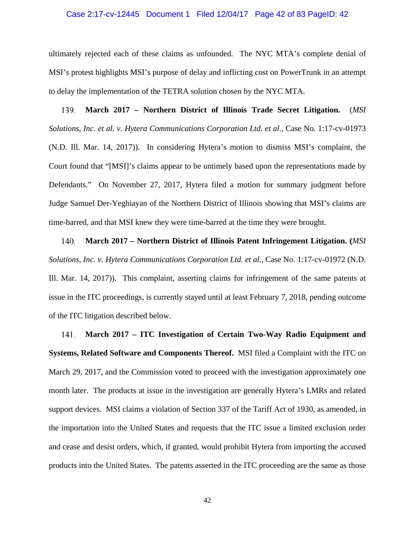## Case 2:17-cv-12445 Document 1 Filed 12/04/17 Page 42 of 83 PageID: 42

ultimately rejected each of these claims as unfounded. The NYC MTA's complete denial of MSI's protest highlights MSI's purpose of delay and inflicting cost on PowerTrunk in an attempt to delay the implementation of the TETRA solution chosen by the NYC MTA.

139. **March 2017 – Northern District of Illinois Trade Secret Litigation.** (*MSI Solutions, Inc. et al. v. Hytera Communications Corporation Ltd. et al*., Case No. 1:17-cv-01973 (N.D. Ill. Mar. 14, 2017)). In considering Hytera's motion to dismiss MSI's complaint, the Court found that "[MSI]'s claims appear to be untimely based upon the representations made by Defendants." On November 27, 2017, Hytera filed a motion for summary judgment before Judge Samuel Der-Yeghiayan of the Northern District of Illinois showing that MSI's claims are time-barred, and that MSI knew they were time-barred at the time they were brought.

140. **March 2017 – Northern District of Illinois Patent Infringement Litigation. (***MSI Solutions, Inc. v. Hytera Communications Corporation Ltd. et al.,* Case No. 1:17-cv-01972 (N.D. Ill. Mar. 14, 2017)). This complaint, asserting claims for infringement of the same patents at issue in the ITC proceedings, is currently stayed until at least February 7, 2018, pending outcome of the ITC litigation described below.

**March 2017 – ITC Investigation of Certain Two-Way Radio Equipment and**  141. **Systems, Related Software and Components Thereof.** MSI filed a Complaint with the ITC on March 29, 2017, and the Commission voted to proceed with the investigation approximately one month later. The products at issue in the investigation are generally Hytera's LMRs and related support devices. MSI claims a violation of Section 337 of the Tariff Act of 1930, as amended, in the importation into the United States and requests that the ITC issue a limited exclusion order and cease and desist orders, which, if granted, would prohibit Hytera from importing the accused products into the United States. The patents asserted in the ITC proceeding are the same as those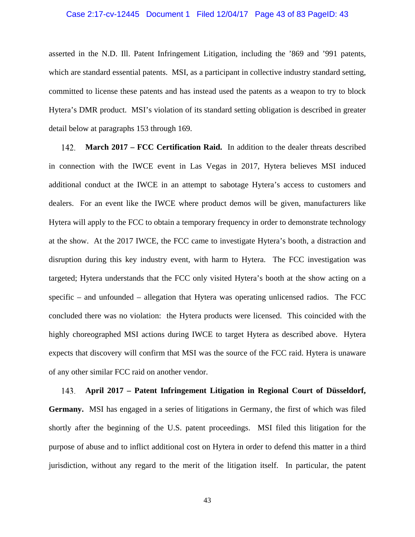## Case 2:17-cv-12445 Document 1 Filed 12/04/17 Page 43 of 83 PageID: 43

asserted in the N.D. Ill. Patent Infringement Litigation, including the '869 and '991 patents, which are standard essential patents. MSI, as a participant in collective industry standard setting, committed to license these patents and has instead used the patents as a weapon to try to block Hytera's DMR product. MSI's violation of its standard setting obligation is described in greater detail below at paragraphs 153 through 169.

142. **March 2017 – FCC Certification Raid.** In addition to the dealer threats described in connection with the IWCE event in Las Vegas in 2017, Hytera believes MSI induced additional conduct at the IWCE in an attempt to sabotage Hytera's access to customers and dealers. For an event like the IWCE where product demos will be given, manufacturers like Hytera will apply to the FCC to obtain a temporary frequency in order to demonstrate technology at the show. At the 2017 IWCE, the FCC came to investigate Hytera's booth, a distraction and disruption during this key industry event, with harm to Hytera. The FCC investigation was targeted; Hytera understands that the FCC only visited Hytera's booth at the show acting on a specific – and unfounded – allegation that Hytera was operating unlicensed radios. The FCC concluded there was no violation: the Hytera products were licensed. This coincided with the highly choreographed MSI actions during IWCE to target Hytera as described above. Hytera expects that discovery will confirm that MSI was the source of the FCC raid. Hytera is unaware of any other similar FCC raid on another vendor.

143. **April 2017 – Patent Infringement Litigation in Regional Court of Düsseldorf, Germany.** MSI has engaged in a series of litigations in Germany, the first of which was filed shortly after the beginning of the U.S. patent proceedings. MSI filed this litigation for the purpose of abuse and to inflict additional cost on Hytera in order to defend this matter in a third jurisdiction, without any regard to the merit of the litigation itself. In particular, the patent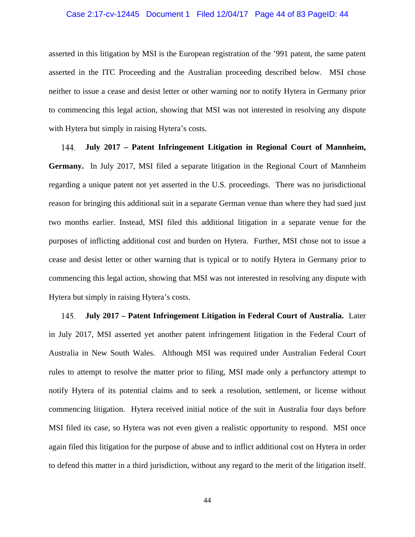## Case 2:17-cv-12445 Document 1 Filed 12/04/17 Page 44 of 83 PageID: 44

asserted in this litigation by MSI is the European registration of the '991 patent, the same patent asserted in the ITC Proceeding and the Australian proceeding described below. MSI chose neither to issue a cease and desist letter or other warning nor to notify Hytera in Germany prior to commencing this legal action, showing that MSI was not interested in resolving any dispute with Hytera but simply in raising Hytera's costs.

144. **July 2017 – Patent Infringement Litigation in Regional Court of Mannheim, Germany.** In July 2017, MSI filed a separate litigation in the Regional Court of Mannheim regarding a unique patent not yet asserted in the U.S. proceedings. There was no jurisdictional reason for bringing this additional suit in a separate German venue than where they had sued just two months earlier. Instead, MSI filed this additional litigation in a separate venue for the purposes of inflicting additional cost and burden on Hytera. Further, MSI chose not to issue a cease and desist letter or other warning that is typical or to notify Hytera in Germany prior to commencing this legal action, showing that MSI was not interested in resolving any dispute with Hytera but simply in raising Hytera's costs.

145. **July 2017 – Patent Infringement Litigation in Federal Court of Australia.** Later in July 2017, MSI asserted yet another patent infringement litigation in the Federal Court of Australia in New South Wales. Although MSI was required under Australian Federal Court rules to attempt to resolve the matter prior to filing, MSI made only a perfunctory attempt to notify Hytera of its potential claims and to seek a resolution, settlement, or license without commencing litigation. Hytera received initial notice of the suit in Australia four days before MSI filed its case, so Hytera was not even given a realistic opportunity to respond. MSI once again filed this litigation for the purpose of abuse and to inflict additional cost on Hytera in order to defend this matter in a third jurisdiction, without any regard to the merit of the litigation itself.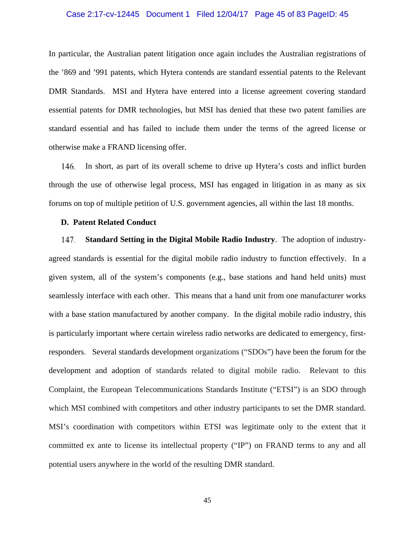## Case 2:17-cv-12445 Document 1 Filed 12/04/17 Page 45 of 83 PageID: 45

In particular, the Australian patent litigation once again includes the Australian registrations of the '869 and '991 patents, which Hytera contends are standard essential patents to the Relevant DMR Standards. MSI and Hytera have entered into a license agreement covering standard essential patents for DMR technologies, but MSI has denied that these two patent families are standard essential and has failed to include them under the terms of the agreed license or otherwise make a FRAND licensing offer.

146. In short, as part of its overall scheme to drive up Hytera's costs and inflict burden through the use of otherwise legal process, MSI has engaged in litigation in as many as six forums on top of multiple petition of U.S. government agencies, all within the last 18 months.

#### **D. Patent Related Conduct**

**Standard Setting in the Digital Mobile Radio Industry**. The adoption of industry-147. agreed standards is essential for the digital mobile radio industry to function effectively. In a given system, all of the system's components (e.g., base stations and hand held units) must seamlessly interface with each other. This means that a hand unit from one manufacturer works with a base station manufactured by another company. In the digital mobile radio industry, this is particularly important where certain wireless radio networks are dedicated to emergency, firstresponders. Several standards development organizations ("SDOs") have been the forum for the development and adoption of standards related to digital mobile radio. Relevant to this Complaint, the European Telecommunications Standards Institute ("ETSI") is an SDO through which MSI combined with competitors and other industry participants to set the DMR standard. MSI's coordination with competitors within ETSI was legitimate only to the extent that it committed ex ante to license its intellectual property ("IP") on FRAND terms to any and all potential users anywhere in the world of the resulting DMR standard.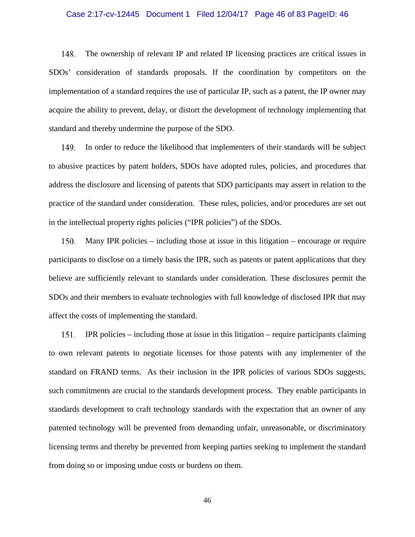## Case 2:17-cv-12445 Document 1 Filed 12/04/17 Page 46 of 83 PageID: 46

148. The ownership of relevant IP and related IP licensing practices are critical issues in SDOs' consideration of standards proposals. If the coordination by competitors on the implementation of a standard requires the use of particular IP, such as a patent, the IP owner may acquire the ability to prevent, delay, or distort the development of technology implementing that standard and thereby undermine the purpose of the SDO.

149. In order to reduce the likelihood that implementers of their standards will be subject to abusive practices by patent holders, SDOs have adopted rules, policies, and procedures that address the disclosure and licensing of patents that SDO participants may assert in relation to the practice of the standard under consideration. These rules, policies, and/or procedures are set out in the intellectual property rights policies ("IPR policies") of the SDOs.

150. Many IPR policies – including those at issue in this litigation – encourage or require participants to disclose on a timely basis the IPR, such as patents or patent applications that they believe are sufficiently relevant to standards under consideration. These disclosures permit the SDOs and their members to evaluate technologies with full knowledge of disclosed IPR that may affect the costs of implementing the standard.

151. IPR policies – including those at issue in this litigation – require participants claiming to own relevant patents to negotiate licenses for those patents with any implementer of the standard on FRAND terms. As their inclusion in the IPR policies of various SDOs suggests, such commitments are crucial to the standards development process. They enable participants in standards development to craft technology standards with the expectation that an owner of any patented technology will be prevented from demanding unfair, unreasonable, or discriminatory licensing terms and thereby be prevented from keeping parties seeking to implement the standard from doing so or imposing undue costs or burdens on them.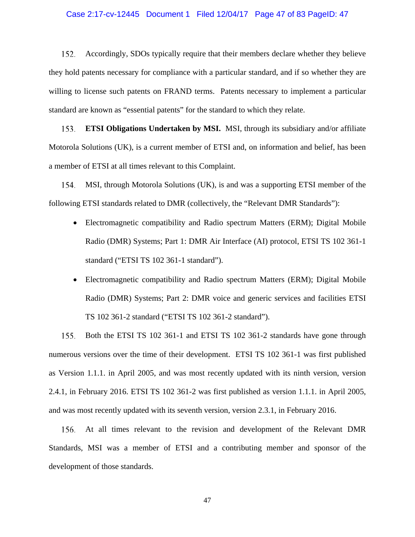## Case 2:17-cv-12445 Document 1 Filed 12/04/17 Page 47 of 83 PageID: 47

152. Accordingly, SDOs typically require that their members declare whether they believe they hold patents necessary for compliance with a particular standard, and if so whether they are willing to license such patents on FRAND terms. Patents necessary to implement a particular standard are known as "essential patents" for the standard to which they relate.

153. **ETSI Obligations Undertaken by MSI.** MSI, through its subsidiary and/or affiliate Motorola Solutions (UK), is a current member of ETSI and, on information and belief, has been a member of ETSI at all times relevant to this Complaint.

154. MSI, through Motorola Solutions (UK), is and was a supporting ETSI member of the following ETSI standards related to DMR (collectively, the "Relevant DMR Standards"):

- Electromagnetic compatibility and Radio spectrum Matters (ERM); Digital Mobile Radio (DMR) Systems; Part 1: DMR Air Interface (AI) protocol, ETSI TS 102 361-1 standard ("ETSI TS 102 361-1 standard").
- Electromagnetic compatibility and Radio spectrum Matters (ERM); Digital Mobile Radio (DMR) Systems; Part 2: DMR voice and generic services and facilities ETSI TS 102 361-2 standard ("ETSI TS 102 361-2 standard").

155. Both the ETSI TS 102 361-1 and ETSI TS 102 361-2 standards have gone through numerous versions over the time of their development. ETSI TS 102 361-1 was first published as Version 1.1.1. in April 2005, and was most recently updated with its ninth version, version 2.4.1, in February 2016. ETSI TS 102 361-2 was first published as version 1.1.1. in April 2005, and was most recently updated with its seventh version, version 2.3.1, in February 2016.

At all times relevant to the revision and development of the Relevant DMR Standards, MSI was a member of ETSI and a contributing member and sponsor of the development of those standards.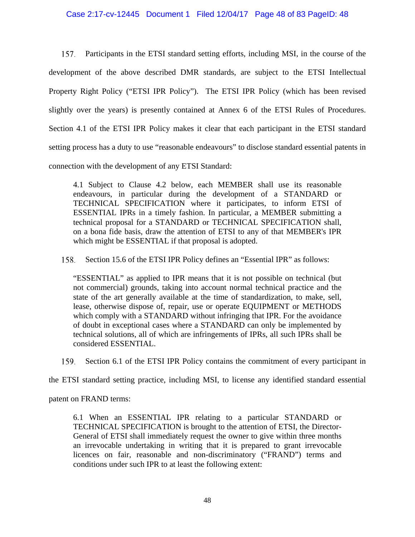# Case 2:17-cv-12445 Document 1 Filed 12/04/17 Page 48 of 83 PageID: 48

157. Participants in the ETSI standard setting efforts, including MSI, in the course of the development of the above described DMR standards, are subject to the ETSI Intellectual Property Right Policy ("ETSI IPR Policy"). The ETSI IPR Policy (which has been revised slightly over the years) is presently contained at Annex 6 of the ETSI Rules of Procedures. Section 4.1 of the ETSI IPR Policy makes it clear that each participant in the ETSI standard setting process has a duty to use "reasonable endeavours" to disclose standard essential patents in connection with the development of any ETSI Standard:

4.1 Subject to Clause 4.2 below, each MEMBER shall use its reasonable endeavours, in particular during the development of a STANDARD or TECHNICAL SPECIFICATION where it participates, to inform ETSI of ESSENTIAL IPRs in a timely fashion. In particular, a MEMBER submitting a technical proposal for a STANDARD or TECHNICAL SPECIFICATION shall, on a bona fide basis, draw the attention of ETSI to any of that MEMBER's IPR which might be ESSENTIAL if that proposal is adopted.

158. Section 15.6 of the ETSI IPR Policy defines an "Essential IPR" as follows:

"ESSENTIAL" as applied to IPR means that it is not possible on technical (but not commercial) grounds, taking into account normal technical practice and the state of the art generally available at the time of standardization, to make, sell, lease, otherwise dispose of, repair, use or operate EQUIPMENT or METHODS which comply with a STANDARD without infringing that IPR. For the avoidance of doubt in exceptional cases where a STANDARD can only be implemented by technical solutions, all of which are infringements of IPRs, all such IPRs shall be considered ESSENTIAL.

159. Section 6.1 of the ETSI IPR Policy contains the commitment of every participant in

the ETSI standard setting practice, including MSI, to license any identified standard essential

patent on FRAND terms:

6.1 When an ESSENTIAL IPR relating to a particular STANDARD or TECHNICAL SPECIFICATION is brought to the attention of ETSI, the Director-General of ETSI shall immediately request the owner to give within three months an irrevocable undertaking in writing that it is prepared to grant irrevocable licences on fair, reasonable and non-discriminatory ("FRAND") terms and conditions under such IPR to at least the following extent: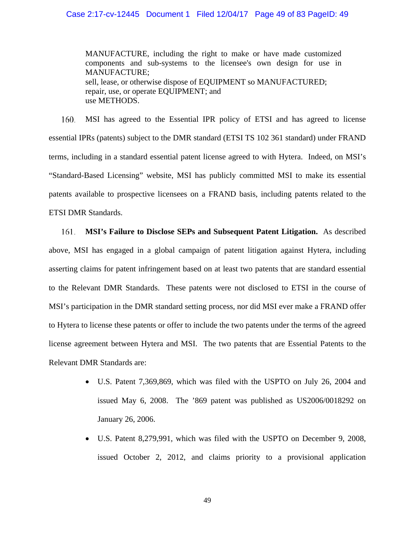# Case 2:17-cv-12445 Document 1 Filed 12/04/17 Page 49 of 83 PageID: 49

MANUFACTURE, including the right to make or have made customized components and sub-systems to the licensee's own design for use in MANUFACTURE; sell, lease, or otherwise dispose of EQUIPMENT so MANUFACTURED; repair, use, or operate EQUIPMENT; and use METHODS.

160. MSI has agreed to the Essential IPR policy of ETSI and has agreed to license essential IPRs (patents) subject to the DMR standard (ETSI TS 102 361 standard) under FRAND terms, including in a standard essential patent license agreed to with Hytera. Indeed, on MSI's "Standard-Based Licensing" website, MSI has publicly committed MSI to make its essential patents available to prospective licensees on a FRAND basis, including patents related to the ETSI DMR Standards.

**MSI's Failure to Disclose SEPs and Subsequent Patent Litigation.** As described 161. above, MSI has engaged in a global campaign of patent litigation against Hytera, including asserting claims for patent infringement based on at least two patents that are standard essential to the Relevant DMR Standards. These patents were not disclosed to ETSI in the course of MSI's participation in the DMR standard setting process, nor did MSI ever make a FRAND offer to Hytera to license these patents or offer to include the two patents under the terms of the agreed license agreement between Hytera and MSI. The two patents that are Essential Patents to the Relevant DMR Standards are:

- U.S. Patent 7,369,869, which was filed with the USPTO on July 26, 2004 and issued May 6, 2008. The '869 patent was published as US2006/0018292 on January 26, 2006.
- U.S. Patent 8,279,991, which was filed with the USPTO on December 9, 2008, issued October 2, 2012, and claims priority to a provisional application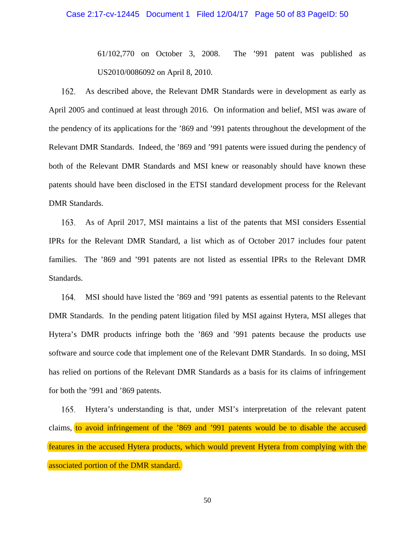## Case 2:17-cv-12445 Document 1 Filed 12/04/17 Page 50 of 83 PageID: 50

61/102,770 on October 3, 2008. The '991 patent was published as US2010/0086092 on April 8, 2010.

162. As described above, the Relevant DMR Standards were in development as early as April 2005 and continued at least through 2016. On information and belief, MSI was aware of the pendency of its applications for the '869 and '991 patents throughout the development of the Relevant DMR Standards. Indeed, the '869 and '991 patents were issued during the pendency of both of the Relevant DMR Standards and MSI knew or reasonably should have known these patents should have been disclosed in the ETSI standard development process for the Relevant DMR Standards.

163. As of April 2017, MSI maintains a list of the patents that MSI considers Essential IPRs for the Relevant DMR Standard, a list which as of October 2017 includes four patent families. The '869 and '991 patents are not listed as essential IPRs to the Relevant DMR Standards.

MSI should have listed the '869 and '991 patents as essential patents to the Relevant 164. DMR Standards. In the pending patent litigation filed by MSI against Hytera, MSI alleges that Hytera's DMR products infringe both the '869 and '991 patents because the products use software and source code that implement one of the Relevant DMR Standards. In so doing, MSI has relied on portions of the Relevant DMR Standards as a basis for its claims of infringement for both the '991 and '869 patents.

165. Hytera's understanding is that, under MSI's interpretation of the relevant patent claims, to avoid infringement of the '869 and '991 patents would be to disable the accused features in the accused Hytera products, which would prevent Hytera from complying with the associated portion of the DMR standard.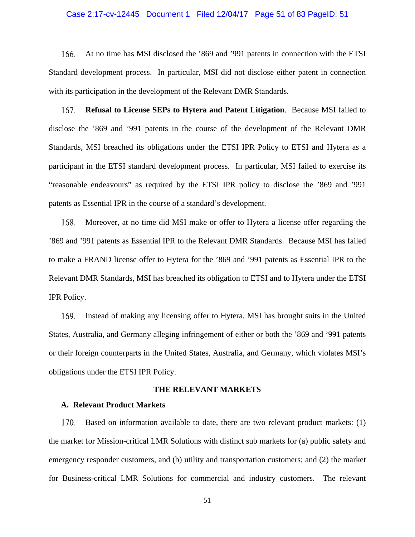## Case 2:17-cv-12445 Document 1 Filed 12/04/17 Page 51 of 83 PageID: 51

166. At no time has MSI disclosed the '869 and '991 patents in connection with the ETSI Standard development process. In particular, MSI did not disclose either patent in connection with its participation in the development of the Relevant DMR Standards.

167. **Refusal to License SEPs to Hytera and Patent Litigation**. Because MSI failed to disclose the '869 and '991 patents in the course of the development of the Relevant DMR Standards, MSI breached its obligations under the ETSI IPR Policy to ETSI and Hytera as a participant in the ETSI standard development process. In particular, MSI failed to exercise its "reasonable endeavours" as required by the ETSI IPR policy to disclose the '869 and '991 patents as Essential IPR in the course of a standard's development.

Moreover, at no time did MSI make or offer to Hytera a license offer regarding the 168. '869 and '991 patents as Essential IPR to the Relevant DMR Standards. Because MSI has failed to make a FRAND license offer to Hytera for the '869 and '991 patents as Essential IPR to the Relevant DMR Standards, MSI has breached its obligation to ETSI and to Hytera under the ETSI IPR Policy.

169. Instead of making any licensing offer to Hytera, MSI has brought suits in the United States, Australia, and Germany alleging infringement of either or both the '869 and '991 patents or their foreign counterparts in the United States, Australia, and Germany, which violates MSI's obligations under the ETSI IPR Policy.

#### **THE RELEVANT MARKETS**

#### **A. Relevant Product Markets**

170. Based on information available to date, there are two relevant product markets: (1) the market for Mission-critical LMR Solutions with distinct sub markets for (a) public safety and emergency responder customers, and (b) utility and transportation customers; and (2) the market for Business-critical LMR Solutions for commercial and industry customers. The relevant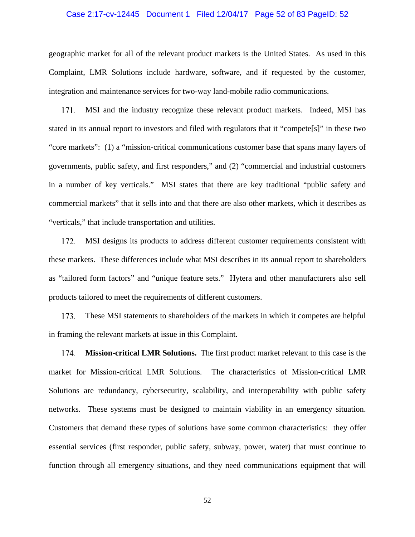## Case 2:17-cv-12445 Document 1 Filed 12/04/17 Page 52 of 83 PageID: 52

geographic market for all of the relevant product markets is the United States. As used in this Complaint, LMR Solutions include hardware, software, and if requested by the customer, integration and maintenance services for two-way land-mobile radio communications.

171. MSI and the industry recognize these relevant product markets. Indeed, MSI has stated in its annual report to investors and filed with regulators that it "compete[s]" in these two "core markets": (1) a "mission-critical communications customer base that spans many layers of governments, public safety, and first responders," and (2) "commercial and industrial customers in a number of key verticals." MSI states that there are key traditional "public safety and commercial markets" that it sells into and that there are also other markets, which it describes as "verticals," that include transportation and utilities.

172. MSI designs its products to address different customer requirements consistent with these markets. These differences include what MSI describes in its annual report to shareholders as "tailored form factors" and "unique feature sets." Hytera and other manufacturers also sell products tailored to meet the requirements of different customers.

173. These MSI statements to shareholders of the markets in which it competes are helpful in framing the relevant markets at issue in this Complaint.

**Mission-critical LMR Solutions.** The first product market relevant to this case is the 174. market for Mission-critical LMR Solutions. The characteristics of Mission-critical LMR Solutions are redundancy, cybersecurity, scalability, and interoperability with public safety networks. These systems must be designed to maintain viability in an emergency situation. Customers that demand these types of solutions have some common characteristics: they offer essential services (first responder, public safety, subway, power, water) that must continue to function through all emergency situations, and they need communications equipment that will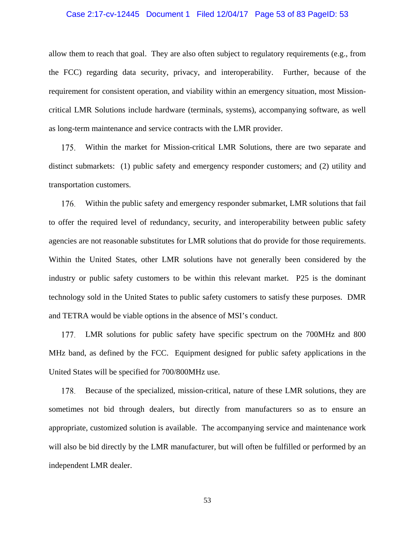## Case 2:17-cv-12445 Document 1 Filed 12/04/17 Page 53 of 83 PageID: 53

allow them to reach that goal. They are also often subject to regulatory requirements (e.g., from the FCC) regarding data security, privacy, and interoperability. Further, because of the requirement for consistent operation, and viability within an emergency situation, most Missioncritical LMR Solutions include hardware (terminals, systems), accompanying software, as well as long-term maintenance and service contracts with the LMR provider.

Within the market for Mission-critical LMR Solutions, there are two separate and 175. distinct submarkets: (1) public safety and emergency responder customers; and (2) utility and transportation customers.

Within the public safety and emergency responder submarket, LMR solutions that fail 176. to offer the required level of redundancy, security, and interoperability between public safety agencies are not reasonable substitutes for LMR solutions that do provide for those requirements. Within the United States, other LMR solutions have not generally been considered by the industry or public safety customers to be within this relevant market. P25 is the dominant technology sold in the United States to public safety customers to satisfy these purposes. DMR and TETRA would be viable options in the absence of MSI's conduct.

177. LMR solutions for public safety have specific spectrum on the 700MHz and 800 MHz band, as defined by the FCC. Equipment designed for public safety applications in the United States will be specified for 700/800MHz use.

178. Because of the specialized, mission-critical, nature of these LMR solutions, they are sometimes not bid through dealers, but directly from manufacturers so as to ensure an appropriate, customized solution is available. The accompanying service and maintenance work will also be bid directly by the LMR manufacturer, but will often be fulfilled or performed by an independent LMR dealer.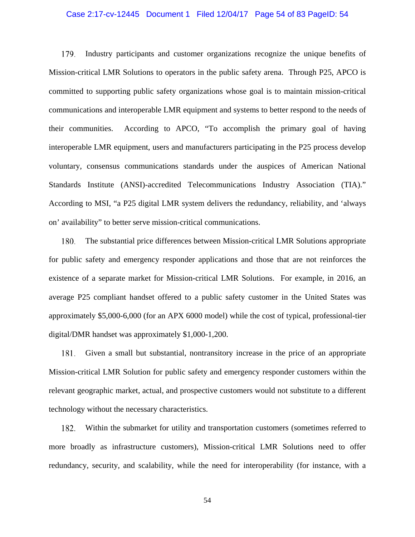## Case 2:17-cv-12445 Document 1 Filed 12/04/17 Page 54 of 83 PageID: 54

179. Industry participants and customer organizations recognize the unique benefits of Mission-critical LMR Solutions to operators in the public safety arena. Through P25, APCO is committed to supporting public safety organizations whose goal is to maintain mission-critical communications and interoperable LMR equipment and systems to better respond to the needs of their communities. According to APCO, "To accomplish the primary goal of having interoperable LMR equipment, users and manufacturers participating in the P25 process develop voluntary, consensus communications standards under the auspices of American National Standards Institute (ANSI)-accredited Telecommunications Industry Association (TIA)." According to MSI, "a P25 digital LMR system delivers the redundancy, reliability, and 'always on' availability" to better serve mission-critical communications.

180. The substantial price differences between Mission-critical LMR Solutions appropriate for public safety and emergency responder applications and those that are not reinforces the existence of a separate market for Mission-critical LMR Solutions. For example, in 2016, an average P25 compliant handset offered to a public safety customer in the United States was approximately \$5,000-6,000 (for an APX 6000 model) while the cost of typical, professional-tier digital/DMR handset was approximately \$1,000-1,200.

Given a small but substantial, nontransitory increase in the price of an appropriate 181. Mission-critical LMR Solution for public safety and emergency responder customers within the relevant geographic market, actual, and prospective customers would not substitute to a different technology without the necessary characteristics.

182. Within the submarket for utility and transportation customers (sometimes referred to more broadly as infrastructure customers), Mission-critical LMR Solutions need to offer redundancy, security, and scalability, while the need for interoperability (for instance, with a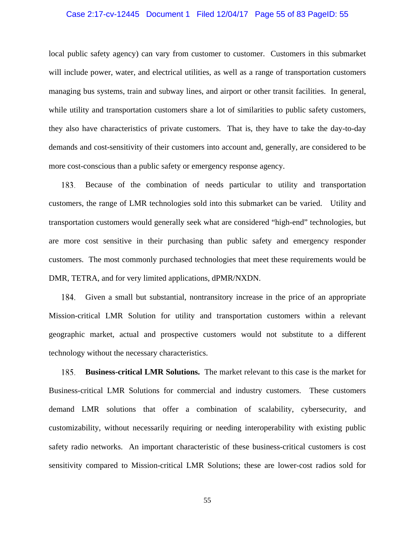## Case 2:17-cv-12445 Document 1 Filed 12/04/17 Page 55 of 83 PageID: 55

local public safety agency) can vary from customer to customer. Customers in this submarket will include power, water, and electrical utilities, as well as a range of transportation customers managing bus systems, train and subway lines, and airport or other transit facilities. In general, while utility and transportation customers share a lot of similarities to public safety customers, they also have characteristics of private customers. That is, they have to take the day-to-day demands and cost-sensitivity of their customers into account and, generally, are considered to be more cost-conscious than a public safety or emergency response agency.

183. Because of the combination of needs particular to utility and transportation customers, the range of LMR technologies sold into this submarket can be varied. Utility and transportation customers would generally seek what are considered "high-end" technologies, but are more cost sensitive in their purchasing than public safety and emergency responder customers. The most commonly purchased technologies that meet these requirements would be DMR, TETRA, and for very limited applications, dPMR/NXDN.

Given a small but substantial, nontransitory increase in the price of an appropriate Mission-critical LMR Solution for utility and transportation customers within a relevant geographic market, actual and prospective customers would not substitute to a different technology without the necessary characteristics.

**Business-critical LMR Solutions.** The market relevant to this case is the market for 185. Business-critical LMR Solutions for commercial and industry customers. These customers demand LMR solutions that offer a combination of scalability, cybersecurity, and customizability, without necessarily requiring or needing interoperability with existing public safety radio networks. An important characteristic of these business-critical customers is cost sensitivity compared to Mission-critical LMR Solutions; these are lower-cost radios sold for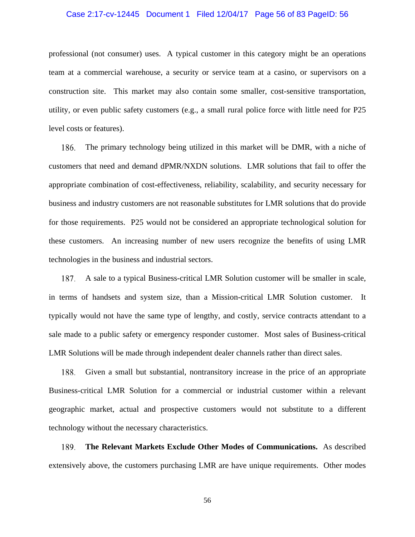## Case 2:17-cv-12445 Document 1 Filed 12/04/17 Page 56 of 83 PageID: 56

professional (not consumer) uses. A typical customer in this category might be an operations team at a commercial warehouse, a security or service team at a casino, or supervisors on a construction site. This market may also contain some smaller, cost-sensitive transportation, utility, or even public safety customers (e.g., a small rural police force with little need for P25 level costs or features).

The primary technology being utilized in this market will be DMR, with a niche of 186. customers that need and demand dPMR/NXDN solutions. LMR solutions that fail to offer the appropriate combination of cost-effectiveness, reliability, scalability, and security necessary for business and industry customers are not reasonable substitutes for LMR solutions that do provide for those requirements. P25 would not be considered an appropriate technological solution for these customers. An increasing number of new users recognize the benefits of using LMR technologies in the business and industrial sectors.

A sale to a typical Business-critical LMR Solution customer will be smaller in scale, 187. in terms of handsets and system size, than a Mission-critical LMR Solution customer. It typically would not have the same type of lengthy, and costly, service contracts attendant to a sale made to a public safety or emergency responder customer. Most sales of Business-critical LMR Solutions will be made through independent dealer channels rather than direct sales.

Given a small but substantial, nontransitory increase in the price of an appropriate 188. Business-critical LMR Solution for a commercial or industrial customer within a relevant geographic market, actual and prospective customers would not substitute to a different technology without the necessary characteristics.

189. **The Relevant Markets Exclude Other Modes of Communications.** As described extensively above, the customers purchasing LMR are have unique requirements. Other modes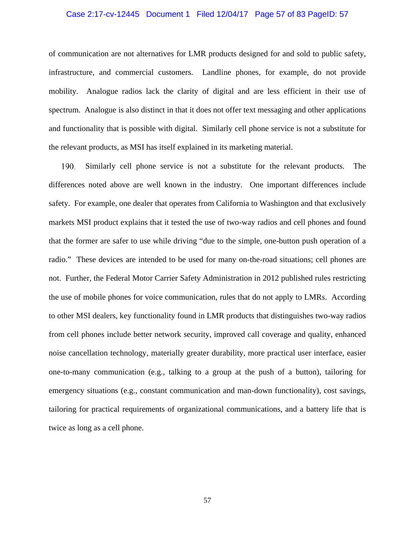## Case 2:17-cv-12445 Document 1 Filed 12/04/17 Page 57 of 83 PageID: 57

of communication are not alternatives for LMR products designed for and sold to public safety, infrastructure, and commercial customers. Landline phones, for example, do not provide mobility. Analogue radios lack the clarity of digital and are less efficient in their use of spectrum. Analogue is also distinct in that it does not offer text messaging and other applications and functionality that is possible with digital. Similarly cell phone service is not a substitute for the relevant products, as MSI has itself explained in its marketing material.

190. Similarly cell phone service is not a substitute for the relevant products. The differences noted above are well known in the industry. One important differences include safety. For example, one dealer that operates from California to Washington and that exclusively markets MSI product explains that it tested the use of two-way radios and cell phones and found that the former are safer to use while driving "due to the simple, one-button push operation of a radio." These devices are intended to be used for many on-the-road situations; cell phones are not. Further, the Federal Motor Carrier Safety Administration in 2012 published rules restricting the use of mobile phones for voice communication, rules that do not apply to LMRs. According to other MSI dealers, key functionality found in LMR products that distinguishes two-way radios from cell phones include better network security, improved call coverage and quality, enhanced noise cancellation technology, materially greater durability, more practical user interface, easier one-to-many communication (e.g., talking to a group at the push of a button), tailoring for emergency situations (e.g., constant communication and man-down functionality), cost savings, tailoring for practical requirements of organizational communications, and a battery life that is twice as long as a cell phone.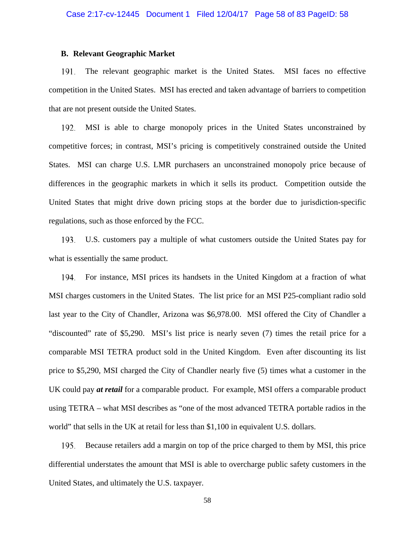# **B. Relevant Geographic Market**

The relevant geographic market is the United States. MSI faces no effective 191. competition in the United States. MSI has erected and taken advantage of barriers to competition that are not present outside the United States.

MSI is able to charge monopoly prices in the United States unconstrained by 192. competitive forces; in contrast, MSI's pricing is competitively constrained outside the United States. MSI can charge U.S. LMR purchasers an unconstrained monopoly price because of differences in the geographic markets in which it sells its product. Competition outside the United States that might drive down pricing stops at the border due to jurisdiction-specific regulations, such as those enforced by the FCC.

U.S. customers pay a multiple of what customers outside the United States pay for 193. what is essentially the same product.

194. For instance, MSI prices its handsets in the United Kingdom at a fraction of what MSI charges customers in the United States. The list price for an MSI P25-compliant radio sold last year to the City of Chandler, Arizona was \$6,978.00. MSI offered the City of Chandler a "discounted" rate of \$5,290. MSI's list price is nearly seven (7) times the retail price for a comparable MSI TETRA product sold in the United Kingdom. Even after discounting its list price to \$5,290, MSI charged the City of Chandler nearly five (5) times what a customer in the UK could pay *at retail* for a comparable product. For example, MSI offers a comparable product using TETRA – what MSI describes as "one of the most advanced TETRA portable radios in the world" that sells in the UK at retail for less than \$1,100 in equivalent U.S. dollars.

195. Because retailers add a margin on top of the price charged to them by MSI, this price differential understates the amount that MSI is able to overcharge public safety customers in the United States, and ultimately the U.S. taxpayer.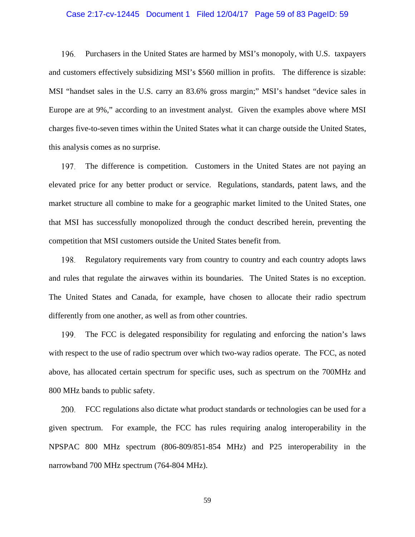## Case 2:17-cv-12445 Document 1 Filed 12/04/17 Page 59 of 83 PageID: 59

196. Purchasers in the United States are harmed by MSI's monopoly, with U.S. taxpayers and customers effectively subsidizing MSI's \$560 million in profits. The difference is sizable: MSI "handset sales in the U.S. carry an 83.6% gross margin;" MSI's handset "device sales in Europe are at 9%," according to an investment analyst. Given the examples above where MSI charges five-to-seven times within the United States what it can charge outside the United States, this analysis comes as no surprise.

The difference is competition. Customers in the United States are not paying an 197. elevated price for any better product or service. Regulations, standards, patent laws, and the market structure all combine to make for a geographic market limited to the United States, one that MSI has successfully monopolized through the conduct described herein, preventing the competition that MSI customers outside the United States benefit from.

198. Regulatory requirements vary from country to country and each country adopts laws and rules that regulate the airwaves within its boundaries. The United States is no exception. The United States and Canada, for example, have chosen to allocate their radio spectrum differently from one another, as well as from other countries.

199. The FCC is delegated responsibility for regulating and enforcing the nation's laws with respect to the use of radio spectrum over which two-way radios operate. The FCC, as noted above, has allocated certain spectrum for specific uses, such as spectrum on the 700MHz and 800 MHz bands to public safety.

200. FCC regulations also dictate what product standards or technologies can be used for a given spectrum. For example, the FCC has rules requiring analog interoperability in the NPSPAC 800 MHz spectrum (806-809/851-854 MHz) and P25 interoperability in the narrowband 700 MHz spectrum (764-804 MHz).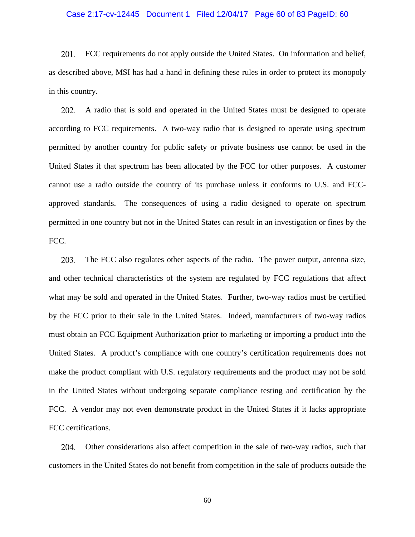## Case 2:17-cv-12445 Document 1 Filed 12/04/17 Page 60 of 83 PageID: 60

201. FCC requirements do not apply outside the United States. On information and belief, as described above, MSI has had a hand in defining these rules in order to protect its monopoly in this country.

202. A radio that is sold and operated in the United States must be designed to operate according to FCC requirements. A two-way radio that is designed to operate using spectrum permitted by another country for public safety or private business use cannot be used in the United States if that spectrum has been allocated by the FCC for other purposes. A customer cannot use a radio outside the country of its purchase unless it conforms to U.S. and FCCapproved standards. The consequences of using a radio designed to operate on spectrum permitted in one country but not in the United States can result in an investigation or fines by the FCC.

203. The FCC also regulates other aspects of the radio. The power output, antenna size, and other technical characteristics of the system are regulated by FCC regulations that affect what may be sold and operated in the United States. Further, two-way radios must be certified by the FCC prior to their sale in the United States. Indeed, manufacturers of two-way radios must obtain an FCC Equipment Authorization prior to marketing or importing a product into the United States. A product's compliance with one country's certification requirements does not make the product compliant with U.S. regulatory requirements and the product may not be sold in the United States without undergoing separate compliance testing and certification by the FCC. A vendor may not even demonstrate product in the United States if it lacks appropriate FCC certifications.

204. Other considerations also affect competition in the sale of two-way radios, such that customers in the United States do not benefit from competition in the sale of products outside the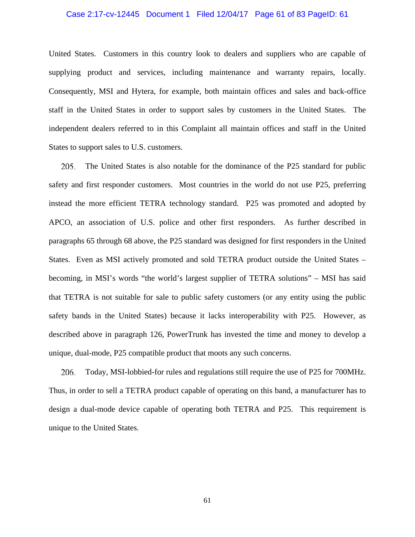## Case 2:17-cv-12445 Document 1 Filed 12/04/17 Page 61 of 83 PageID: 61

United States. Customers in this country look to dealers and suppliers who are capable of supplying product and services, including maintenance and warranty repairs, locally. Consequently, MSI and Hytera, for example, both maintain offices and sales and back-office staff in the United States in order to support sales by customers in the United States. The independent dealers referred to in this Complaint all maintain offices and staff in the United States to support sales to U.S. customers.

205. The United States is also notable for the dominance of the P25 standard for public safety and first responder customers. Most countries in the world do not use P25, preferring instead the more efficient TETRA technology standard. P25 was promoted and adopted by APCO, an association of U.S. police and other first responders. As further described in paragraphs 65 through 68 above, the P25 standard was designed for first responders in the United States. Even as MSI actively promoted and sold TETRA product outside the United States – becoming, in MSI's words "the world's largest supplier of TETRA solutions" – MSI has said that TETRA is not suitable for sale to public safety customers (or any entity using the public safety bands in the United States) because it lacks interoperability with P25. However, as described above in paragraph 126, PowerTrunk has invested the time and money to develop a unique, dual-mode, P25 compatible product that moots any such concerns.

206. Today, MSI-lobbied-for rules and regulations still require the use of P25 for 700MHz. Thus, in order to sell a TETRA product capable of operating on this band, a manufacturer has to design a dual-mode device capable of operating both TETRA and P25. This requirement is unique to the United States.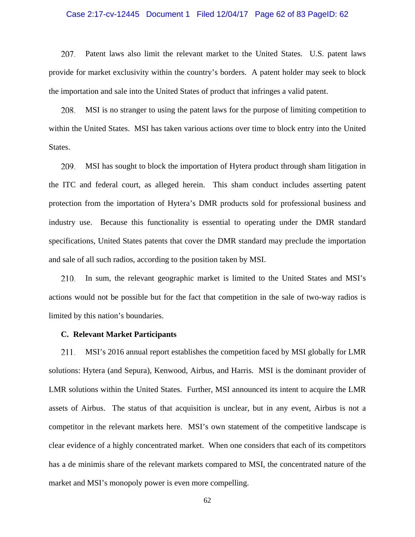## Case 2:17-cv-12445 Document 1 Filed 12/04/17 Page 62 of 83 PageID: 62

207. Patent laws also limit the relevant market to the United States. U.S. patent laws provide for market exclusivity within the country's borders. A patent holder may seek to block the importation and sale into the United States of product that infringes a valid patent.

208. MSI is no stranger to using the patent laws for the purpose of limiting competition to within the United States. MSI has taken various actions over time to block entry into the United States.

209. MSI has sought to block the importation of Hytera product through sham litigation in the ITC and federal court, as alleged herein. This sham conduct includes asserting patent protection from the importation of Hytera's DMR products sold for professional business and industry use. Because this functionality is essential to operating under the DMR standard specifications, United States patents that cover the DMR standard may preclude the importation and sale of all such radios, according to the position taken by MSI.

In sum, the relevant geographic market is limited to the United States and MSI's 210. actions would not be possible but for the fact that competition in the sale of two-way radios is limited by this nation's boundaries.

### **C. Relevant Market Participants**

MSI's 2016 annual report establishes the competition faced by MSI globally for LMR 211. solutions: Hytera (and Sepura), Kenwood, Airbus, and Harris. MSI is the dominant provider of LMR solutions within the United States. Further, MSI announced its intent to acquire the LMR assets of Airbus. The status of that acquisition is unclear, but in any event, Airbus is not a competitor in the relevant markets here. MSI's own statement of the competitive landscape is clear evidence of a highly concentrated market. When one considers that each of its competitors has a de minimis share of the relevant markets compared to MSI, the concentrated nature of the market and MSI's monopoly power is even more compelling.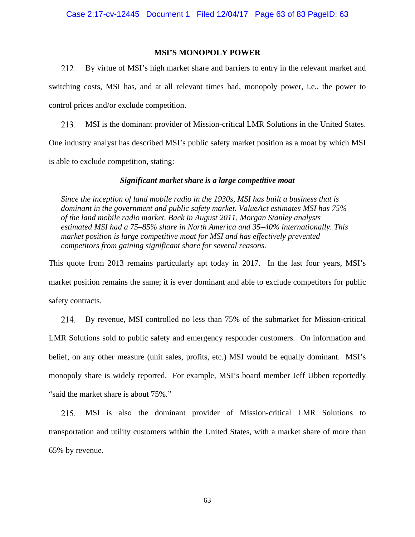# **MSI'S MONOPOLY POWER**

212. By virtue of MSI's high market share and barriers to entry in the relevant market and switching costs, MSI has, and at all relevant times had, monopoly power, i.e., the power to control prices and/or exclude competition.

213. MSI is the dominant provider of Mission-critical LMR Solutions in the United States. One industry analyst has described MSI's public safety market position as a moat by which MSI is able to exclude competition, stating:

# *Significant market share is a large competitive moat*

*Since the inception of land mobile radio in the 1930s, MSI has built a business that is dominant in the government and public safety market. ValueAct estimates MSI has 75% of the land mobile radio market. Back in August 2011, Morgan Stanley analysts estimated MSI had a 75–85% share in North America and 35–40% internationally. This market position is large competitive moat for MSI and has effectively prevented competitors from gaining significant share for several reasons.* 

This quote from 2013 remains particularly apt today in 2017. In the last four years, MSI's market position remains the same; it is ever dominant and able to exclude competitors for public safety contracts.

By revenue, MSI controlled no less than 75% of the submarket for Mission-critical 214. LMR Solutions sold to public safety and emergency responder customers. On information and belief, on any other measure (unit sales, profits, etc.) MSI would be equally dominant. MSI's monopoly share is widely reported. For example, MSI's board member Jeff Ubben reportedly "said the market share is about 75%."

MSI is also the dominant provider of Mission-critical LMR Solutions to 215. transportation and utility customers within the United States, with a market share of more than 65% by revenue.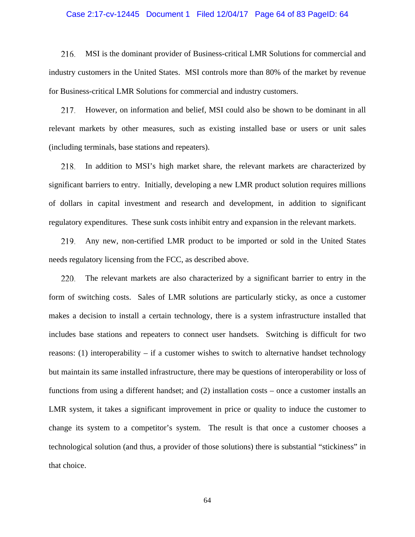## Case 2:17-cv-12445 Document 1 Filed 12/04/17 Page 64 of 83 PageID: 64

216. MSI is the dominant provider of Business-critical LMR Solutions for commercial and industry customers in the United States. MSI controls more than 80% of the market by revenue for Business-critical LMR Solutions for commercial and industry customers.

217. However, on information and belief, MSI could also be shown to be dominant in all relevant markets by other measures, such as existing installed base or users or unit sales (including terminals, base stations and repeaters).

In addition to MSI's high market share, the relevant markets are characterized by 218. significant barriers to entry. Initially, developing a new LMR product solution requires millions of dollars in capital investment and research and development, in addition to significant regulatory expenditures. These sunk costs inhibit entry and expansion in the relevant markets.

219. Any new, non-certified LMR product to be imported or sold in the United States needs regulatory licensing from the FCC, as described above.

220. The relevant markets are also characterized by a significant barrier to entry in the form of switching costs. Sales of LMR solutions are particularly sticky, as once a customer makes a decision to install a certain technology, there is a system infrastructure installed that includes base stations and repeaters to connect user handsets. Switching is difficult for two reasons: (1) interoperability – if a customer wishes to switch to alternative handset technology but maintain its same installed infrastructure, there may be questions of interoperability or loss of functions from using a different handset; and (2) installation costs – once a customer installs an LMR system, it takes a significant improvement in price or quality to induce the customer to change its system to a competitor's system. The result is that once a customer chooses a technological solution (and thus, a provider of those solutions) there is substantial "stickiness" in that choice.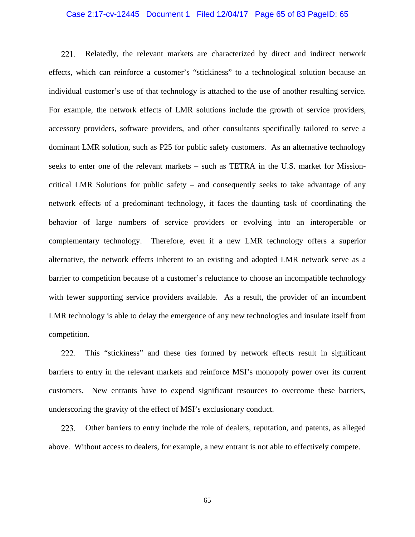## Case 2:17-cv-12445 Document 1 Filed 12/04/17 Page 65 of 83 PageID: 65

221. Relatedly, the relevant markets are characterized by direct and indirect network effects, which can reinforce a customer's "stickiness" to a technological solution because an individual customer's use of that technology is attached to the use of another resulting service. For example, the network effects of LMR solutions include the growth of service providers, accessory providers, software providers, and other consultants specifically tailored to serve a dominant LMR solution, such as P25 for public safety customers. As an alternative technology seeks to enter one of the relevant markets – such as TETRA in the U.S. market for Missioncritical LMR Solutions for public safety – and consequently seeks to take advantage of any network effects of a predominant technology, it faces the daunting task of coordinating the behavior of large numbers of service providers or evolving into an interoperable or complementary technology. Therefore, even if a new LMR technology offers a superior alternative, the network effects inherent to an existing and adopted LMR network serve as a barrier to competition because of a customer's reluctance to choose an incompatible technology with fewer supporting service providers available. As a result, the provider of an incumbent LMR technology is able to delay the emergence of any new technologies and insulate itself from competition.

This "stickiness" and these ties formed by network effects result in significant 222. barriers to entry in the relevant markets and reinforce MSI's monopoly power over its current customers. New entrants have to expend significant resources to overcome these barriers, underscoring the gravity of the effect of MSI's exclusionary conduct.

223. Other barriers to entry include the role of dealers, reputation, and patents, as alleged above. Without access to dealers, for example, a new entrant is not able to effectively compete.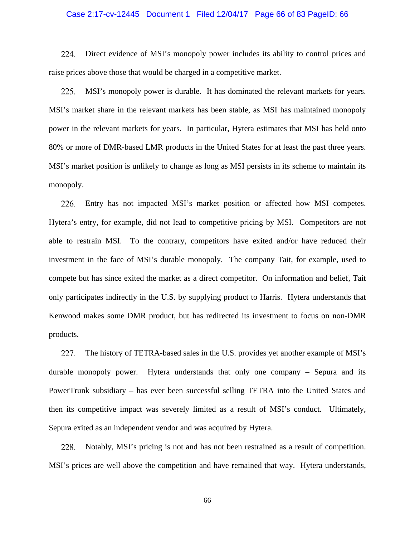## Case 2:17-cv-12445 Document 1 Filed 12/04/17 Page 66 of 83 PageID: 66

224. Direct evidence of MSI's monopoly power includes its ability to control prices and raise prices above those that would be charged in a competitive market.

225. MSI's monopoly power is durable. It has dominated the relevant markets for years. MSI's market share in the relevant markets has been stable, as MSI has maintained monopoly power in the relevant markets for years. In particular, Hytera estimates that MSI has held onto 80% or more of DMR-based LMR products in the United States for at least the past three years. MSI's market position is unlikely to change as long as MSI persists in its scheme to maintain its monopoly.

Entry has not impacted MSI's market position or affected how MSI competes. Hytera's entry, for example, did not lead to competitive pricing by MSI. Competitors are not able to restrain MSI. To the contrary, competitors have exited and/or have reduced their investment in the face of MSI's durable monopoly. The company Tait, for example, used to compete but has since exited the market as a direct competitor. On information and belief, Tait only participates indirectly in the U.S. by supplying product to Harris. Hytera understands that Kenwood makes some DMR product, but has redirected its investment to focus on non-DMR products.

The history of TETRA-based sales in the U.S. provides yet another example of MSI's 227. durable monopoly power. Hytera understands that only one company – Sepura and its PowerTrunk subsidiary – has ever been successful selling TETRA into the United States and then its competitive impact was severely limited as a result of MSI's conduct. Ultimately, Sepura exited as an independent vendor and was acquired by Hytera.

228. Notably, MSI's pricing is not and has not been restrained as a result of competition. MSI's prices are well above the competition and have remained that way. Hytera understands,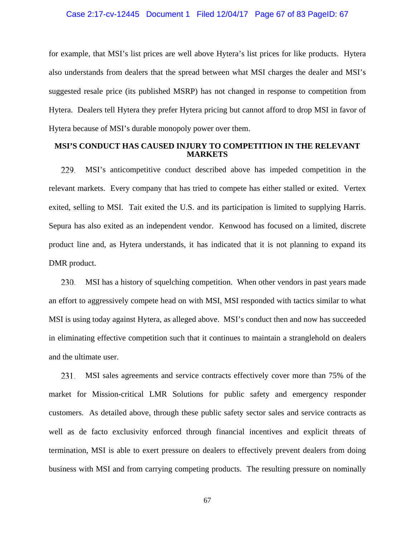## Case 2:17-cv-12445 Document 1 Filed 12/04/17 Page 67 of 83 PageID: 67

for example, that MSI's list prices are well above Hytera's list prices for like products. Hytera also understands from dealers that the spread between what MSI charges the dealer and MSI's suggested resale price (its published MSRP) has not changed in response to competition from Hytera. Dealers tell Hytera they prefer Hytera pricing but cannot afford to drop MSI in favor of Hytera because of MSI's durable monopoly power over them.

## **MSI'S CONDUCT HAS CAUSED INJURY TO COMPETITION IN THE RELEVANT MARKETS**

229. MSI's anticompetitive conduct described above has impeded competition in the relevant markets. Every company that has tried to compete has either stalled or exited. Vertex exited, selling to MSI. Tait exited the U.S. and its participation is limited to supplying Harris. Sepura has also exited as an independent vendor. Kenwood has focused on a limited, discrete product line and, as Hytera understands, it has indicated that it is not planning to expand its DMR product.

MSI has a history of squelching competition. When other vendors in past years made 230. an effort to aggressively compete head on with MSI, MSI responded with tactics similar to what MSI is using today against Hytera, as alleged above. MSI's conduct then and now has succeeded in eliminating effective competition such that it continues to maintain a stranglehold on dealers and the ultimate user.

231. MSI sales agreements and service contracts effectively cover more than 75% of the market for Mission-critical LMR Solutions for public safety and emergency responder customers. As detailed above, through these public safety sector sales and service contracts as well as de facto exclusivity enforced through financial incentives and explicit threats of termination, MSI is able to exert pressure on dealers to effectively prevent dealers from doing business with MSI and from carrying competing products. The resulting pressure on nominally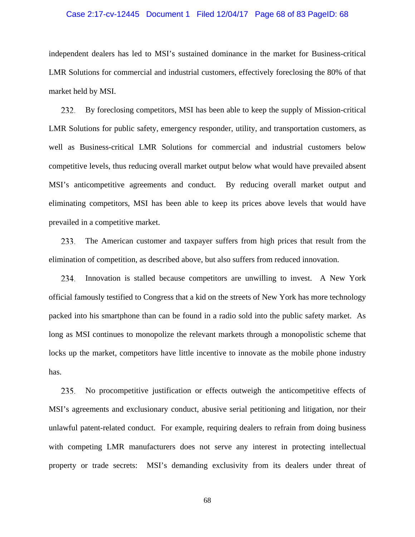## Case 2:17-cv-12445 Document 1 Filed 12/04/17 Page 68 of 83 PageID: 68

independent dealers has led to MSI's sustained dominance in the market for Business-critical LMR Solutions for commercial and industrial customers, effectively foreclosing the 80% of that market held by MSI.

232. By foreclosing competitors, MSI has been able to keep the supply of Mission-critical LMR Solutions for public safety, emergency responder, utility, and transportation customers, as well as Business-critical LMR Solutions for commercial and industrial customers below competitive levels, thus reducing overall market output below what would have prevailed absent MSI's anticompetitive agreements and conduct. By reducing overall market output and eliminating competitors, MSI has been able to keep its prices above levels that would have prevailed in a competitive market.

233. The American customer and taxpayer suffers from high prices that result from the elimination of competition, as described above, but also suffers from reduced innovation.

234. Innovation is stalled because competitors are unwilling to invest. A New York official famously testified to Congress that a kid on the streets of New York has more technology packed into his smartphone than can be found in a radio sold into the public safety market. As long as MSI continues to monopolize the relevant markets through a monopolistic scheme that locks up the market, competitors have little incentive to innovate as the mobile phone industry has.

235. No procompetitive justification or effects outweigh the anticompetitive effects of MSI's agreements and exclusionary conduct, abusive serial petitioning and litigation, nor their unlawful patent-related conduct. For example, requiring dealers to refrain from doing business with competing LMR manufacturers does not serve any interest in protecting intellectual property or trade secrets: MSI's demanding exclusivity from its dealers under threat of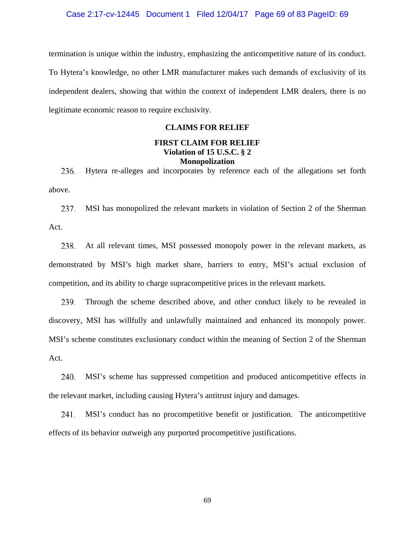termination is unique within the industry, emphasizing the anticompetitive nature of its conduct. To Hytera's knowledge, no other LMR manufacturer makes such demands of exclusivity of its independent dealers, showing that within the context of independent LMR dealers, there is no legitimate economic reason to require exclusivity.

# **CLAIMS FOR RELIEF**

# **FIRST CLAIM FOR RELIEF Violation of 15 U.S.C. § 2 Monopolization**

236. Hytera re-alleges and incorporates by reference each of the allegations set forth above.

237. MSI has monopolized the relevant markets in violation of Section 2 of the Sherman Act.

At all relevant times, MSI possessed monopoly power in the relevant markets, as 238. demonstrated by MSI's high market share, barriers to entry, MSI's actual exclusion of competition, and its ability to charge supracompetitive prices in the relevant markets.

Through the scheme described above, and other conduct likely to be revealed in 239. discovery, MSI has willfully and unlawfully maintained and enhanced its monopoly power. MSI's scheme constitutes exclusionary conduct within the meaning of Section 2 of the Sherman Act.

240. MSI's scheme has suppressed competition and produced anticompetitive effects in the relevant market, including causing Hytera's antitrust injury and damages.

241. MSI's conduct has no procompetitive benefit or justification. The anticompetitive effects of its behavior outweigh any purported procompetitive justifications.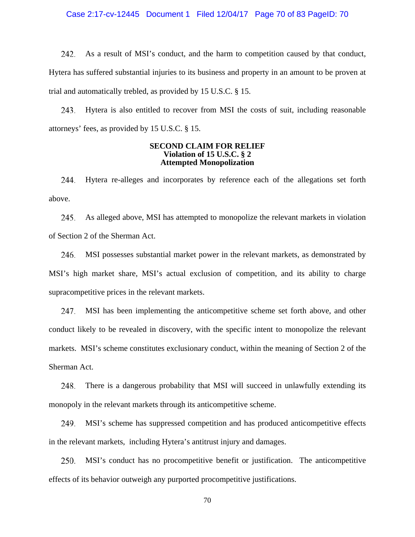Case 2:17-cv-12445 Document 1 Filed 12/04/17 Page 70 of 83 PageID: 70

242. As a result of MSI's conduct, and the harm to competition caused by that conduct, Hytera has suffered substantial injuries to its business and property in an amount to be proven at trial and automatically trebled, as provided by 15 U.S.C. § 15.

243. Hytera is also entitled to recover from MSI the costs of suit, including reasonable attorneys' fees, as provided by 15 U.S.C. § 15.

### **SECOND CLAIM FOR RELIEF Violation of 15 U.S.C. § 2 Attempted Monopolization**

244. Hytera re-alleges and incorporates by reference each of the allegations set forth above.

As alleged above, MSI has attempted to monopolize the relevant markets in violation 245. of Section 2 of the Sherman Act.

246. MSI possesses substantial market power in the relevant markets, as demonstrated by MSI's high market share, MSI's actual exclusion of competition, and its ability to charge supracompetitive prices in the relevant markets.

MSI has been implementing the anticompetitive scheme set forth above, and other 247. conduct likely to be revealed in discovery, with the specific intent to monopolize the relevant markets. MSI's scheme constitutes exclusionary conduct, within the meaning of Section 2 of the Sherman Act.

248. There is a dangerous probability that MSI will succeed in unlawfully extending its monopoly in the relevant markets through its anticompetitive scheme.

MSI's scheme has suppressed competition and has produced anticompetitive effects 249. in the relevant markets, including Hytera's antitrust injury and damages.

250. MSI's conduct has no procompetitive benefit or justification. The anticompetitive effects of its behavior outweigh any purported procompetitive justifications.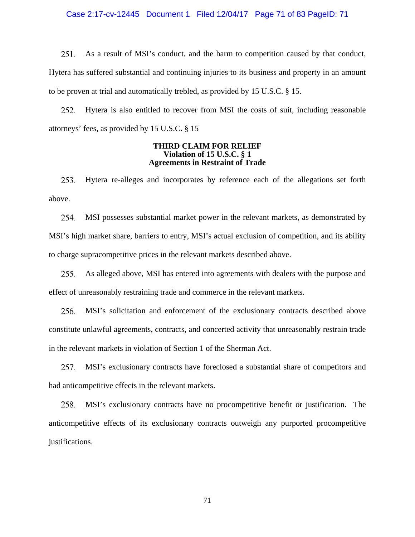## Case 2:17-cv-12445 Document 1 Filed 12/04/17 Page 71 of 83 PageID: 71

251. As a result of MSI's conduct, and the harm to competition caused by that conduct, Hytera has suffered substantial and continuing injuries to its business and property in an amount to be proven at trial and automatically trebled, as provided by 15 U.S.C. § 15.

252. Hytera is also entitled to recover from MSI the costs of suit, including reasonable attorneys' fees, as provided by 15 U.S.C. § 15

### **THIRD CLAIM FOR RELIEF Violation of 15 U.S.C. § 1 Agreements in Restraint of Trade**

Hytera re-alleges and incorporates by reference each of the allegations set forth 253. above.

MSI possesses substantial market power in the relevant markets, as demonstrated by 254. MSI's high market share, barriers to entry, MSI's actual exclusion of competition, and its ability to charge supracompetitive prices in the relevant markets described above.

255. As alleged above, MSI has entered into agreements with dealers with the purpose and effect of unreasonably restraining trade and commerce in the relevant markets.

256. MSI's solicitation and enforcement of the exclusionary contracts described above constitute unlawful agreements, contracts, and concerted activity that unreasonably restrain trade in the relevant markets in violation of Section 1 of the Sherman Act.

MSI's exclusionary contracts have foreclosed a substantial share of competitors and 257. had anticompetitive effects in the relevant markets.

258. MSI's exclusionary contracts have no procompetitive benefit or justification. The anticompetitive effects of its exclusionary contracts outweigh any purported procompetitive justifications.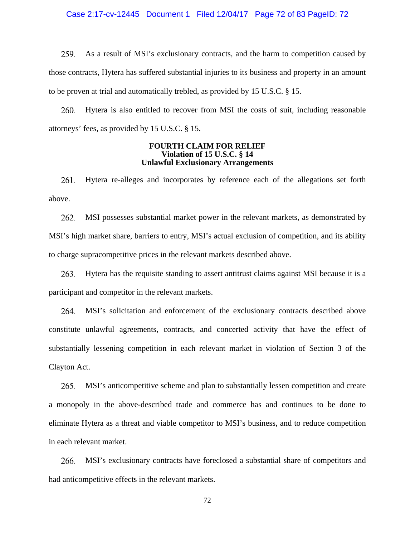## Case 2:17-cv-12445 Document 1 Filed 12/04/17 Page 72 of 83 PageID: 72

259. As a result of MSI's exclusionary contracts, and the harm to competition caused by those contracts, Hytera has suffered substantial injuries to its business and property in an amount to be proven at trial and automatically trebled, as provided by 15 U.S.C. § 15.

260. Hytera is also entitled to recover from MSI the costs of suit, including reasonable attorneys' fees, as provided by 15 U.S.C. § 15.

### **FOURTH CLAIM FOR RELIEF Violation of 15 U.S.C. § 14 Unlawful Exclusionary Arrangements**

Hytera re-alleges and incorporates by reference each of the allegations set forth 261. above.

262. MSI possesses substantial market power in the relevant markets, as demonstrated by MSI's high market share, barriers to entry, MSI's actual exclusion of competition, and its ability to charge supracompetitive prices in the relevant markets described above.

Hytera has the requisite standing to assert antitrust claims against MSI because it is a 263. participant and competitor in the relevant markets.

MSI's solicitation and enforcement of the exclusionary contracts described above 264. constitute unlawful agreements, contracts, and concerted activity that have the effect of substantially lessening competition in each relevant market in violation of Section 3 of the Clayton Act.

265. MSI's anticompetitive scheme and plan to substantially lessen competition and create a monopoly in the above-described trade and commerce has and continues to be done to eliminate Hytera as a threat and viable competitor to MSI's business, and to reduce competition in each relevant market.

266. MSI's exclusionary contracts have foreclosed a substantial share of competitors and had anticompetitive effects in the relevant markets.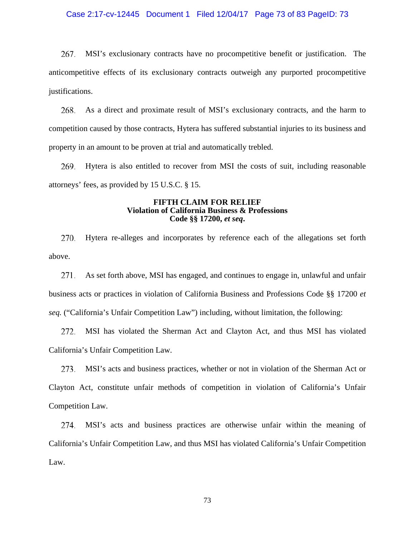### Case 2:17-cv-12445 Document 1 Filed 12/04/17 Page 73 of 83 PageID: 73

267. MSI's exclusionary contracts have no procompetitive benefit or justification. The anticompetitive effects of its exclusionary contracts outweigh any purported procompetitive justifications.

As a direct and proximate result of MSI's exclusionary contracts, and the harm to 268. competition caused by those contracts, Hytera has suffered substantial injuries to its business and property in an amount to be proven at trial and automatically trebled.

Hytera is also entitled to recover from MSI the costs of suit, including reasonable 269. attorneys' fees, as provided by 15 U.S.C. § 15.

#### **FIFTH CLAIM FOR RELIEF Violation of California Business & Professions Code §§ 17200,** *et seq***.**

270. Hytera re-alleges and incorporates by reference each of the allegations set forth above.

271. As set forth above, MSI has engaged, and continues to engage in, unlawful and unfair business acts or practices in violation of California Business and Professions Code §§ 17200 *et seq.* ("California's Unfair Competition Law") including, without limitation, the following:

272. MSI has violated the Sherman Act and Clayton Act, and thus MSI has violated California's Unfair Competition Law.

MSI's acts and business practices, whether or not in violation of the Sherman Act or Clayton Act, constitute unfair methods of competition in violation of California's Unfair Competition Law.

MSI's acts and business practices are otherwise unfair within the meaning of 274. California's Unfair Competition Law, and thus MSI has violated California's Unfair Competition Law.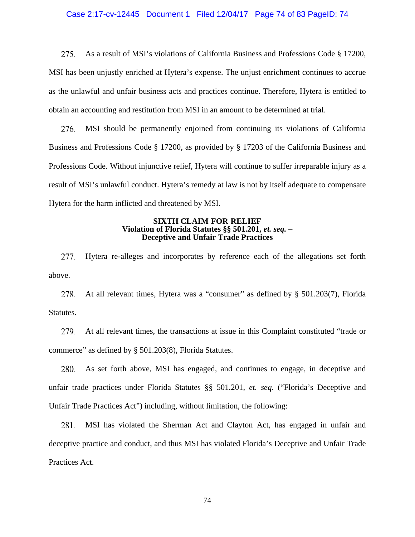### Case 2:17-cv-12445 Document 1 Filed 12/04/17 Page 74 of 83 PageID: 74

275. As a result of MSI's violations of California Business and Professions Code § 17200, MSI has been unjustly enriched at Hytera's expense. The unjust enrichment continues to accrue as the unlawful and unfair business acts and practices continue. Therefore, Hytera is entitled to obtain an accounting and restitution from MSI in an amount to be determined at trial.

276. MSI should be permanently enjoined from continuing its violations of California Business and Professions Code § 17200, as provided by § 17203 of the California Business and Professions Code. Without injunctive relief, Hytera will continue to suffer irreparable injury as a result of MSI's unlawful conduct. Hytera's remedy at law is not by itself adequate to compensate Hytera for the harm inflicted and threatened by MSI.

### **SIXTH CLAIM FOR RELIEF Violation of Florida Statutes §§ 501.201,** *et. seq.* **– Deceptive and Unfair Trade Practices**

277. Hytera re-alleges and incorporates by reference each of the allegations set forth above.

At all relevant times, Hytera was a "consumer" as defined by § 501.203(7), Florida 278. Statutes.

279. At all relevant times, the transactions at issue in this Complaint constituted "trade or commerce" as defined by § 501.203(8), Florida Statutes.

As set forth above, MSI has engaged, and continues to engage, in deceptive and 280. unfair trade practices under Florida Statutes §§ 501.201, *et. seq.* ("Florida's Deceptive and Unfair Trade Practices Act") including, without limitation, the following:

MSI has violated the Sherman Act and Clayton Act, has engaged in unfair and 281. deceptive practice and conduct, and thus MSI has violated Florida's Deceptive and Unfair Trade Practices Act.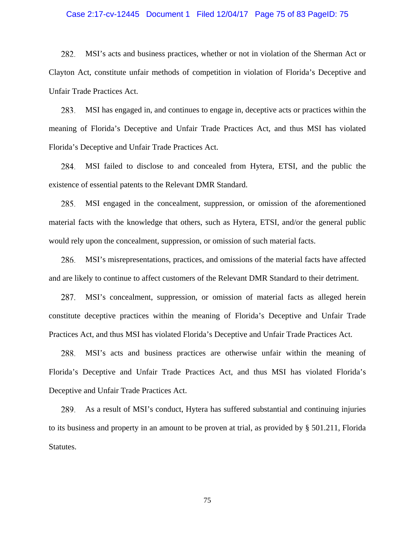#### Case 2:17-cv-12445 Document 1 Filed 12/04/17 Page 75 of 83 PageID: 75

282. MSI's acts and business practices, whether or not in violation of the Sherman Act or Clayton Act, constitute unfair methods of competition in violation of Florida's Deceptive and Unfair Trade Practices Act.

MSI has engaged in, and continues to engage in, deceptive acts or practices within the 283. meaning of Florida's Deceptive and Unfair Trade Practices Act, and thus MSI has violated Florida's Deceptive and Unfair Trade Practices Act.

284. MSI failed to disclose to and concealed from Hytera, ETSI, and the public the existence of essential patents to the Relevant DMR Standard.

285. MSI engaged in the concealment, suppression, or omission of the aforementioned material facts with the knowledge that others, such as Hytera, ETSI, and/or the general public would rely upon the concealment, suppression, or omission of such material facts.

286. MSI's misrepresentations, practices, and omissions of the material facts have affected and are likely to continue to affect customers of the Relevant DMR Standard to their detriment.

MSI's concealment, suppression, or omission of material facts as alleged herein 287. constitute deceptive practices within the meaning of Florida's Deceptive and Unfair Trade Practices Act, and thus MSI has violated Florida's Deceptive and Unfair Trade Practices Act.

MSI's acts and business practices are otherwise unfair within the meaning of 288. Florida's Deceptive and Unfair Trade Practices Act, and thus MSI has violated Florida's Deceptive and Unfair Trade Practices Act.

289. As a result of MSI's conduct, Hytera has suffered substantial and continuing injuries to its business and property in an amount to be proven at trial, as provided by § 501.211, Florida Statutes.

75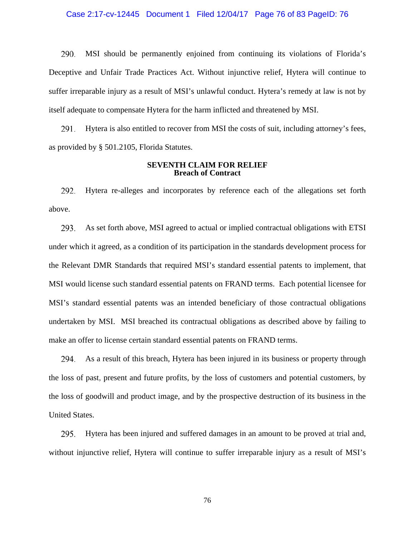### Case 2:17-cv-12445 Document 1 Filed 12/04/17 Page 76 of 83 PageID: 76

290. MSI should be permanently enjoined from continuing its violations of Florida's Deceptive and Unfair Trade Practices Act. Without injunctive relief, Hytera will continue to suffer irreparable injury as a result of MSI's unlawful conduct. Hytera's remedy at law is not by itself adequate to compensate Hytera for the harm inflicted and threatened by MSI.

Hytera is also entitled to recover from MSI the costs of suit, including attorney's fees, 291. as provided by § 501.2105, Florida Statutes.

### **SEVENTH CLAIM FOR RELIEF Breach of Contract**

292. Hytera re-alleges and incorporates by reference each of the allegations set forth above.

293. As set forth above, MSI agreed to actual or implied contractual obligations with ETSI under which it agreed, as a condition of its participation in the standards development process for the Relevant DMR Standards that required MSI's standard essential patents to implement, that MSI would license such standard essential patents on FRAND terms. Each potential licensee for MSI's standard essential patents was an intended beneficiary of those contractual obligations undertaken by MSI. MSI breached its contractual obligations as described above by failing to make an offer to license certain standard essential patents on FRAND terms.

294. As a result of this breach, Hytera has been injured in its business or property through the loss of past, present and future profits, by the loss of customers and potential customers, by the loss of goodwill and product image, and by the prospective destruction of its business in the United States.

Hytera has been injured and suffered damages in an amount to be proved at trial and, 295. without injunctive relief, Hytera will continue to suffer irreparable injury as a result of MSI's

76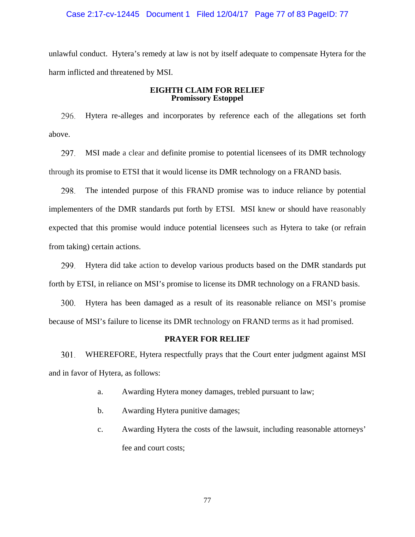### Case 2:17-cv-12445 Document 1 Filed 12/04/17 Page 77 of 83 PageID: 77

unlawful conduct. Hytera's remedy at law is not by itself adequate to compensate Hytera for the harm inflicted and threatened by MSI.

# **EIGHTH CLAIM FOR RELIEF Promissory Estoppel**

296. Hytera re-alleges and incorporates by reference each of the allegations set forth above.

297. MSI made a clear and definite promise to potential licensees of its DMR technology through its promise to ETSI that it would license its DMR technology on a FRAND basis.

298. The intended purpose of this FRAND promise was to induce reliance by potential implementers of the DMR standards put forth by ETSI. MSI knew or should have reasonably expected that this promise would induce potential licensees such as Hytera to take (or refrain from taking) certain actions.

299. Hytera did take action to develop various products based on the DMR standards put forth by ETSI, in reliance on MSI's promise to license its DMR technology on a FRAND basis.

300. Hytera has been damaged as a result of its reasonable reliance on MSI's promise because of MSI's failure to license its DMR technology on FRAND terms as it had promised.

# **PRAYER FOR RELIEF**

301. WHEREFORE, Hytera respectfully prays that the Court enter judgment against MSI and in favor of Hytera, as follows:

- a. Awarding Hytera money damages, trebled pursuant to law;
- b. Awarding Hytera punitive damages;
- c. Awarding Hytera the costs of the lawsuit, including reasonable attorneys' fee and court costs;

77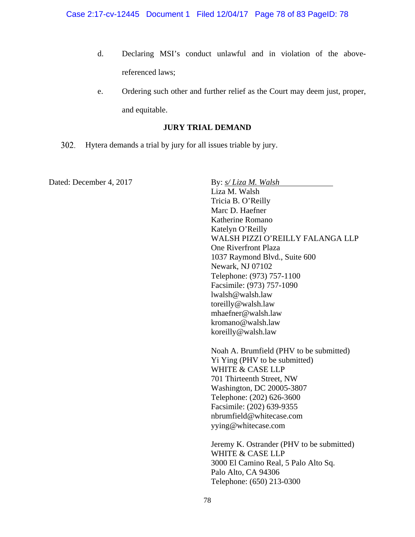- d. Declaring MSI's conduct unlawful and in violation of the abovereferenced laws;
- e. Ordering such other and further relief as the Court may deem just, proper, and equitable.

# **JURY TRIAL DEMAND**

302. Hytera demands a trial by jury for all issues triable by jury.

Dated: December 4, 2017 **By:** *s/ Liza M. Walsh* Liza M. Walsh Tricia B. O'Reilly Marc D. Haefner Katherine Romano Katelyn O'Reilly WALSH PIZZI O'REILLY FALANGA LLP One Riverfront Plaza 1037 Raymond Blvd., Suite 600 Newark, NJ 07102 Telephone: (973) 757-1100 Facsimile: (973) 757-1090 lwalsh@walsh.law toreilly@walsh.law mhaefner@walsh.law kromano@walsh.law koreilly@walsh.law Noah A. Brumfield (PHV to be submitted) Yi Ying (PHV to be submitted) WHITE & CASE LLP 701 Thirteenth Street, NW Washington, DC 20005-3807 Telephone: (202) 626-3600 Facsimile: (202) 639-9355 nbrumfield@whitecase.com yying@whitecase.com Jeremy K. Ostrander (PHV to be submitted) WHITE & CASE LLP 3000 El Camino Real, 5 Palo Alto Sq. Palo Alto, CA 94306

Telephone: (650) 213-0300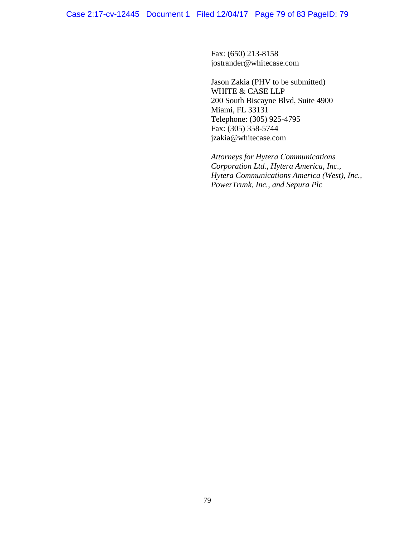Fax: (650) 213-8158 jostrander@whitecase.com

Jason Zakia (PHV to be submitted) WHITE & CASE LLP 200 South Biscayne Blvd, Suite 4900 Miami, FL 33131 Telephone: (305) 925-4795 Fax: (305) 358-5744 jzakia@whitecase.com

*Attorneys for Hytera Communications Corporation Ltd., Hytera America, Inc., Hytera Communications America (West), Inc., PowerTrunk, Inc., and Sepura Plc*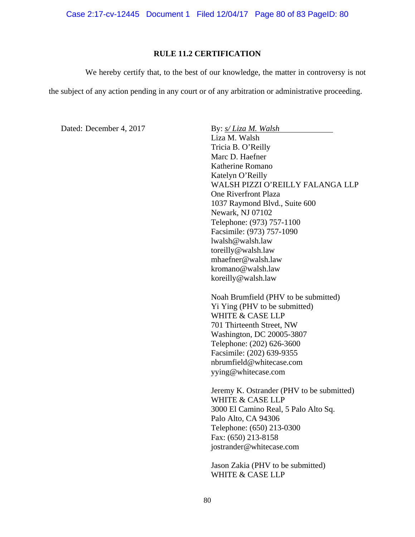Case 2:17-cv-12445 Document 1 Filed 12/04/17 Page 80 of 83 PageID: 80

# **RULE 11.2 CERTIFICATION**

We hereby certify that, to the best of our knowledge, the matter in controversy is not

the subject of any action pending in any court or of any arbitration or administrative proceeding.

Dated: December 4, 2017 **By:** *s/ Liza M. Walsh* 

Liza M. Walsh Tricia B. O'Reilly Marc D. Haefner Katherine Romano Katelyn O'Reilly WALSH PIZZI O'REILLY FALANGA LLP One Riverfront Plaza 1037 Raymond Blvd., Suite 600 Newark, NJ 07102 Telephone: (973) 757-1100 Facsimile: (973) 757-1090 lwalsh@walsh.law toreilly@walsh.law mhaefner@walsh.law kromano@walsh.law koreilly@walsh.law

Noah Brumfield (PHV to be submitted) Yi Ying (PHV to be submitted) WHITE & CASE LLP 701 Thirteenth Street, NW Washington, DC 20005-3807 Telephone: (202) 626-3600 Facsimile: (202) 639-9355 nbrumfield@whitecase.com yying@whitecase.com

Jeremy K. Ostrander (PHV to be submitted) WHITE & CASE LLP 3000 El Camino Real, 5 Palo Alto Sq. Palo Alto, CA 94306 Telephone: (650) 213-0300 Fax: (650) 213-8158 jostrander@whitecase.com

Jason Zakia (PHV to be submitted) WHITE & CASE LLP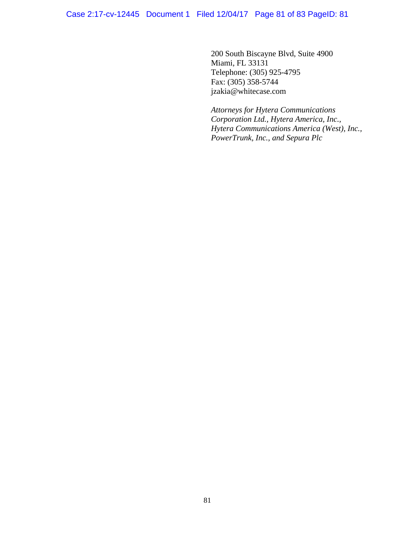200 South Biscayne Blvd, Suite 4900 Miami, FL 33131 Telephone: (305) 925-4795 Fax: (305) 358-5744 jzakia@whitecase.com

*Attorneys for Hytera Communications Corporation Ltd., Hytera America, Inc., Hytera Communications America (West), Inc., PowerTrunk, Inc., and Sepura Plc*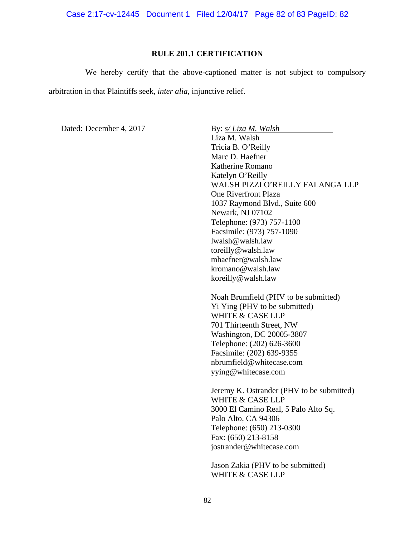Case 2:17-cv-12445 Document 1 Filed 12/04/17 Page 82 of 83 PageID: 82

### **RULE 201.1 CERTIFICATION**

 We hereby certify that the above-captioned matter is not subject to compulsory arbitration in that Plaintiffs seek, *inter alia*, injunctive relief.

Dated: December 4, 2017 **By:** *s/ Liza M. Walsh* 

Liza M. Walsh Tricia B. O'Reilly Marc D. Haefner Katherine Romano Katelyn O'Reilly WALSH PIZZI O'REILLY FALANGA LLP One Riverfront Plaza 1037 Raymond Blvd., Suite 600 Newark, NJ 07102 Telephone: (973) 757-1100 Facsimile: (973) 757-1090 lwalsh@walsh.law toreilly@walsh.law mhaefner@walsh.law kromano@walsh.law koreilly@walsh.law

Noah Brumfield (PHV to be submitted) Yi Ying (PHV to be submitted) WHITE & CASE LLP 701 Thirteenth Street, NW Washington, DC 20005-3807 Telephone: (202) 626-3600 Facsimile: (202) 639-9355 nbrumfield@whitecase.com yying@whitecase.com

Jeremy K. Ostrander (PHV to be submitted) WHITE & CASE LLP 3000 El Camino Real, 5 Palo Alto Sq. Palo Alto, CA 94306 Telephone: (650) 213-0300 Fax: (650) 213-8158 jostrander@whitecase.com

Jason Zakia (PHV to be submitted) WHITE & CASE LLP